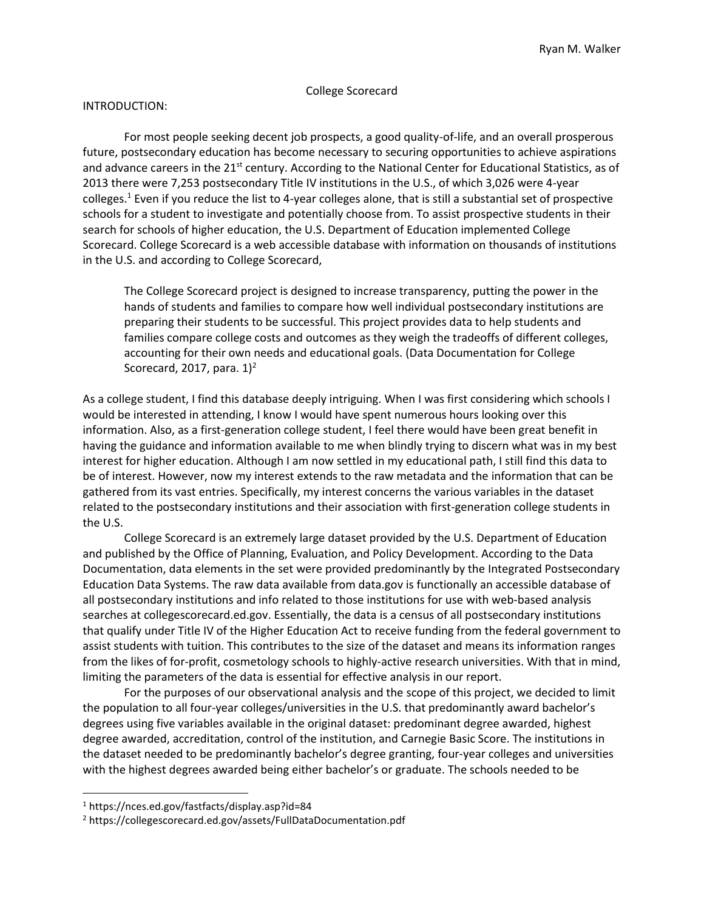#### College Scorecard

#### INTRODUCTION:

For most people seeking decent job prospects, a good quality-of-life, and an overall prosperous future, postsecondary education has become necessary to securing opportunities to achieve aspirations and advance careers in the 21<sup>st</sup> century. According to the National Center for Educational Statistics, as of 2013 there were 7,253 postsecondary Title IV institutions in the U.S., of which 3,026 were 4-year colleges.<sup>1</sup> Even if you reduce the list to 4-year colleges alone, that is still a substantial set of prospective schools for a student to investigate and potentially choose from. To assist prospective students in their search for schools of higher education, the U.S. Department of Education implemented College Scorecard. College Scorecard is a web accessible database with information on thousands of institutions in the U.S. and according to College Scorecard,

The College Scorecard project is designed to increase transparency, putting the power in the hands of students and families to compare how well individual postsecondary institutions are preparing their students to be successful. This project provides data to help students and families compare college costs and outcomes as they weigh the tradeoffs of different colleges, accounting for their own needs and educational goals. (Data Documentation for College Scorecard, 2017, para.  $1)^2$ 

As a college student, I find this database deeply intriguing. When I was first considering which schools I would be interested in attending, I know I would have spent numerous hours looking over this information. Also, as a first-generation college student, I feel there would have been great benefit in having the guidance and information available to me when blindly trying to discern what was in my best interest for higher education. Although I am now settled in my educational path, I still find this data to be of interest. However, now my interest extends to the raw metadata and the information that can be gathered from its vast entries. Specifically, my interest concerns the various variables in the dataset related to the postsecondary institutions and their association with first-generation college students in the U.S.

College Scorecard is an extremely large dataset provided by the U.S. Department of Education and published by the Office of Planning, Evaluation, and Policy Development. According to the Data Documentation, data elements in the set were provided predominantly by the Integrated Postsecondary Education Data Systems. The raw data available from data.gov is functionally an accessible database of all postsecondary institutions and info related to those institutions for use with web-based analysis searches at collegescorecard.ed.gov. Essentially, the data is a census of all postsecondary institutions that qualify under Title IV of the Higher Education Act to receive funding from the federal government to assist students with tuition. This contributes to the size of the dataset and means its information ranges from the likes of for-profit, cosmetology schools to highly-active research universities. With that in mind, limiting the parameters of the data is essential for effective analysis in our report.

For the purposes of our observational analysis and the scope of this project, we decided to limit the population to all four-year colleges/universities in the U.S. that predominantly award bachelor's degrees using five variables available in the original dataset: predominant degree awarded, highest degree awarded, accreditation, control of the institution, and Carnegie Basic Score. The institutions in the dataset needed to be predominantly bachelor's degree granting, four-year colleges and universities with the highest degrees awarded being either bachelor's or graduate. The schools needed to be

 $\overline{\phantom{a}}$ 

<sup>1</sup> https://nces.ed.gov/fastfacts/display.asp?id=84

<sup>2</sup> https://collegescorecard.ed.gov/assets/FullDataDocumentation.pdf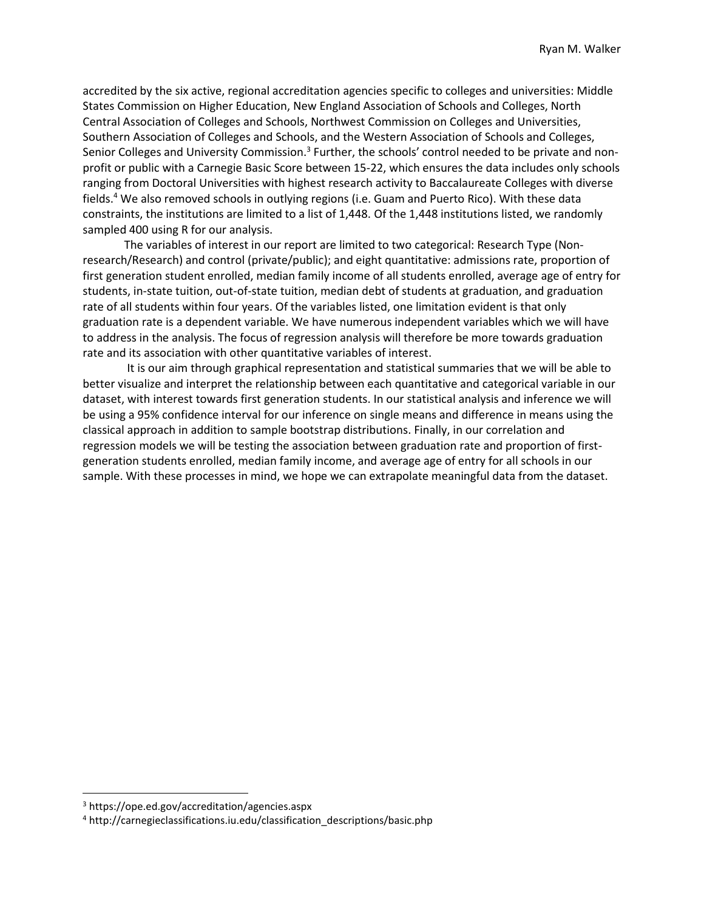accredited by the six active, regional accreditation agencies specific to colleges and universities: Middle States Commission on Higher Education, New England Association of Schools and Colleges, North Central Association of Colleges and Schools, Northwest Commission on Colleges and Universities, Southern Association of Colleges and Schools, and the Western Association of Schools and Colleges, Senior Colleges and University Commission.<sup>3</sup> Further, the schools' control needed to be private and nonprofit or public with a Carnegie Basic Score between 15-22, which ensures the data includes only schools ranging from Doctoral Universities with highest research activity to Baccalaureate Colleges with diverse fields.<sup>4</sup> We also removed schools in outlying regions (i.e. Guam and Puerto Rico). With these data constraints, the institutions are limited to a list of 1,448. Of the 1,448 institutions listed, we randomly sampled 400 using R for our analysis.

The variables of interest in our report are limited to two categorical: Research Type (Nonresearch/Research) and control (private/public); and eight quantitative: admissions rate, proportion of first generation student enrolled, median family income of all students enrolled, average age of entry for students, in-state tuition, out-of-state tuition, median debt of students at graduation, and graduation rate of all students within four years. Of the variables listed, one limitation evident is that only graduation rate is a dependent variable. We have numerous independent variables which we will have to address in the analysis. The focus of regression analysis will therefore be more towards graduation rate and its association with other quantitative variables of interest.

It is our aim through graphical representation and statistical summaries that we will be able to better visualize and interpret the relationship between each quantitative and categorical variable in our dataset, with interest towards first generation students. In our statistical analysis and inference we will be using a 95% confidence interval for our inference on single means and difference in means using the classical approach in addition to sample bootstrap distributions. Finally, in our correlation and regression models we will be testing the association between graduation rate and proportion of firstgeneration students enrolled, median family income, and average age of entry for all schools in our sample. With these processes in mind, we hope we can extrapolate meaningful data from the dataset.

 $\overline{\phantom{a}}$ 

<sup>3</sup> https://ope.ed.gov/accreditation/agencies.aspx

<sup>4</sup> http://carnegieclassifications.iu.edu/classification\_descriptions/basic.php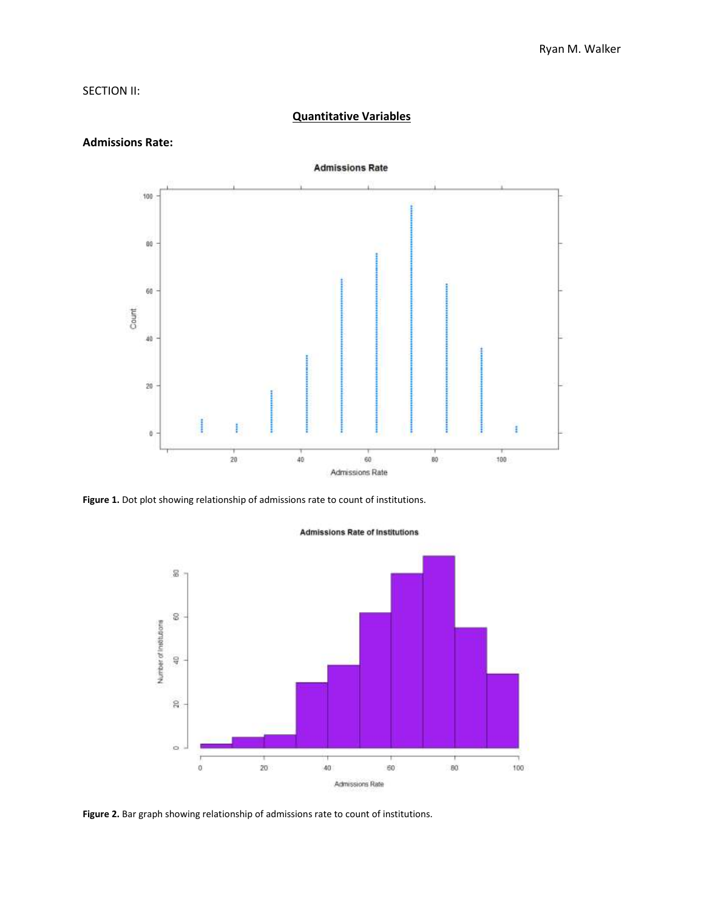# SECTION II:

# **Admissions Rate** 100 ãã. 60 Count  $\sqrt{40}$  $\mathbf{20}$ ŧ ö  $20$ 40 60 80 100 Admissions Rate

**Quantitative Variables**

# **Admissions Rate:**

**Figure 1.** Dot plot showing relationship of admissions rate to count of institutions.



#### **Admissions Rate of Institutions**

**Figure 2.** Bar graph showing relationship of admissions rate to count of institutions.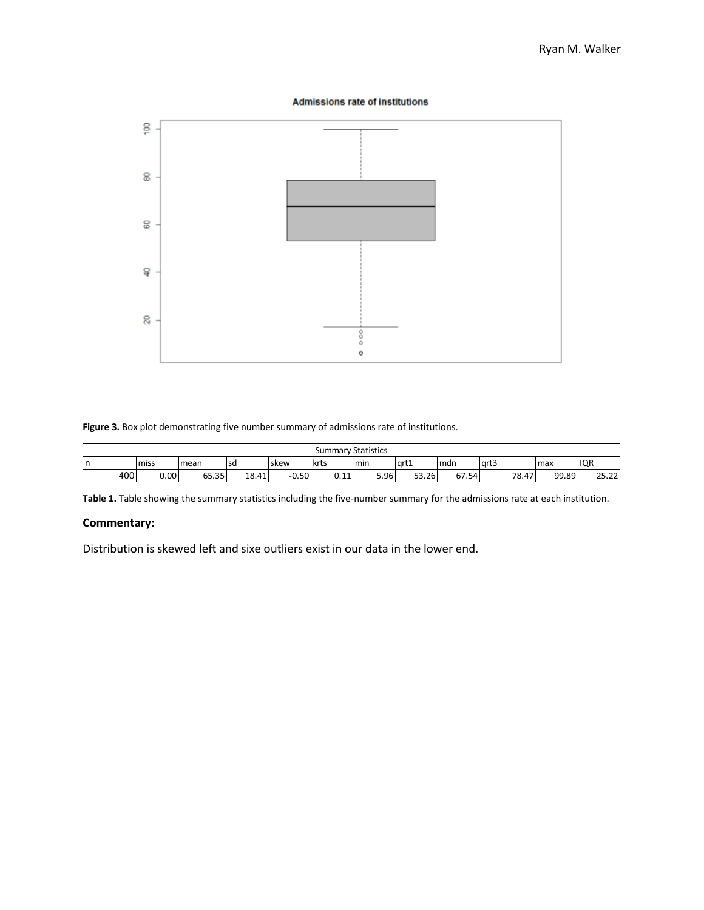#### **Admissions rate of institutions**



**Figure 3.** Box plot demonstrating five number summary of admissions rate of institutions.

|   | <b>Summary Statistics</b> |      |       |       |         |      |      |       |       |        |       |                |
|---|---------------------------|------|-------|-------|---------|------|------|-------|-------|--------|-------|----------------|
| n |                           | miss | mean  | l sd  | skew    | krts | min  | art1  | mdn   | l art3 | max   | <b>IQR</b>     |
|   | 400                       | 0.00 | 65.35 | 18.41 | $-0.50$ | 0.11 | 5.96 | 53.26 | 67.54 | 78.47  | 99.89 | רר חר<br>23.22 |

**Table 1.** Table showing the summary statistics including the five-number summary for the admissions rate at each institution.

# **Commentary:**

Distribution is skewed left and sixe outliers exist in our data in the lower end.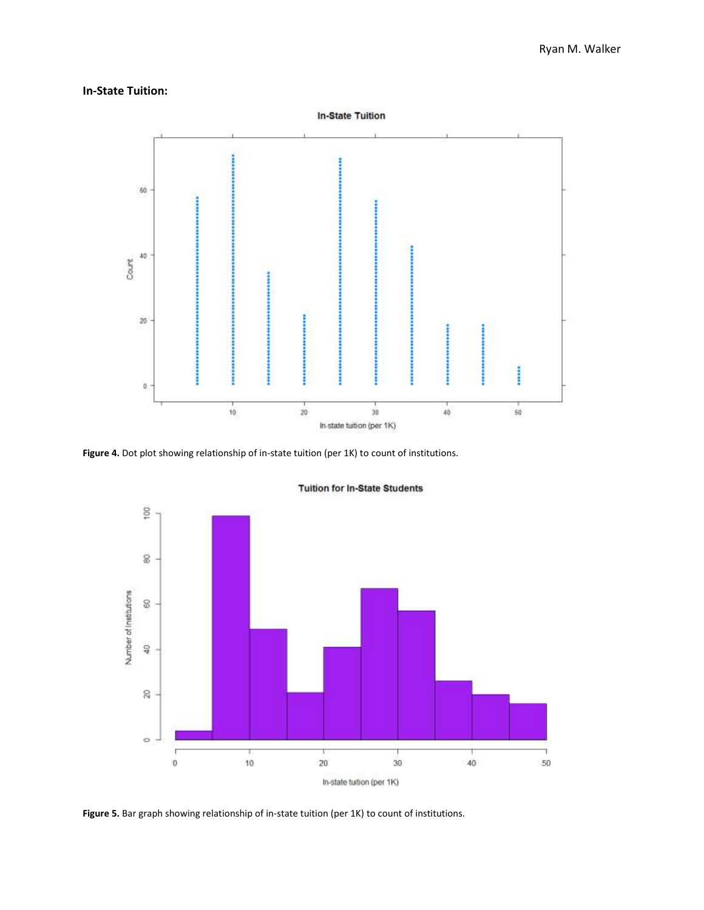# **In-State Tuition:**



**Figure 4.** Dot plot showing relationship of in-state tuition (per 1K) to count of institutions.



**Tuition for In-State Students** 

**Figure 5.** Bar graph showing relationship of in-state tuition (per 1K) to count of institutions.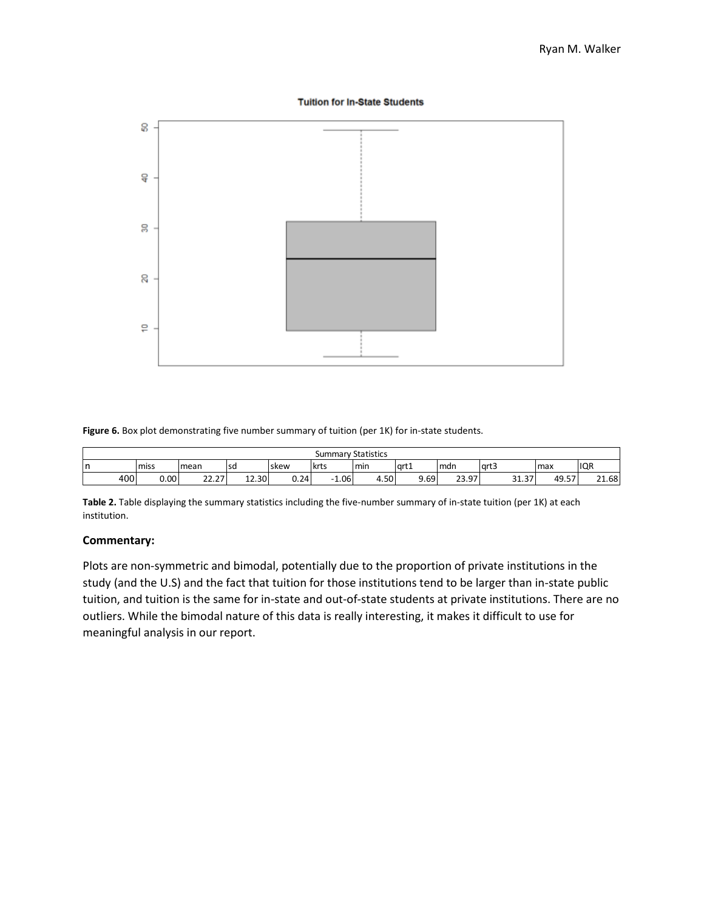#### **Tuition for In-State Students**



**Figure 6.** Box plot demonstrating five number summary of tuition (per 1K) for in-state students.

|        | <b>Summary Statistics</b> |                   |       |             |                                  |      |        |       |            |       |            |  |
|--------|---------------------------|-------------------|-------|-------------|----------------------------------|------|--------|-------|------------|-------|------------|--|
| n<br>ш | miss                      | mean              | l sd  | <b>skew</b> | krts                             | min  | l art1 | mdn   | lart3      | Imax  | <b>IQR</b> |  |
| 400    | 0.001                     | າາ<br>っっ<br>LL.LI | 12.30 | 0.24        | 1.06<br>$\overline{\phantom{0}}$ | 4.50 | 9.69   | 23.97 | 77<br>31.3 | 49.57 | 21.68      |  |

**Table 2.** Table displaying the summary statistics including the five-number summary of in-state tuition (per 1K) at each institution.

# **Commentary:**

Plots are non-symmetric and bimodal, potentially due to the proportion of private institutions in the study (and the U.S) and the fact that tuition for those institutions tend to be larger than in-state public tuition, and tuition is the same for in-state and out-of-state students at private institutions. There are no outliers. While the bimodal nature of this data is really interesting, it makes it difficult to use for meaningful analysis in our report.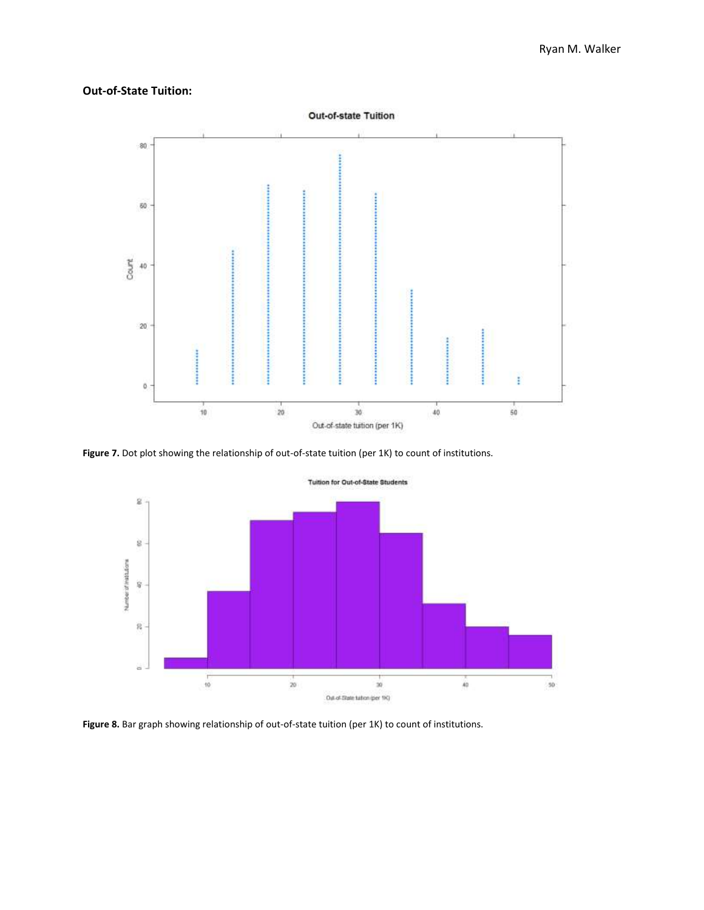# **Out-of-State Tuition:**



Figure 7. Dot plot showing the relationship of out-of-state tuition (per 1K) to count of institutions.



Figure 8. Bar graph showing relationship of out-of-state tuition (per 1K) to count of institutions.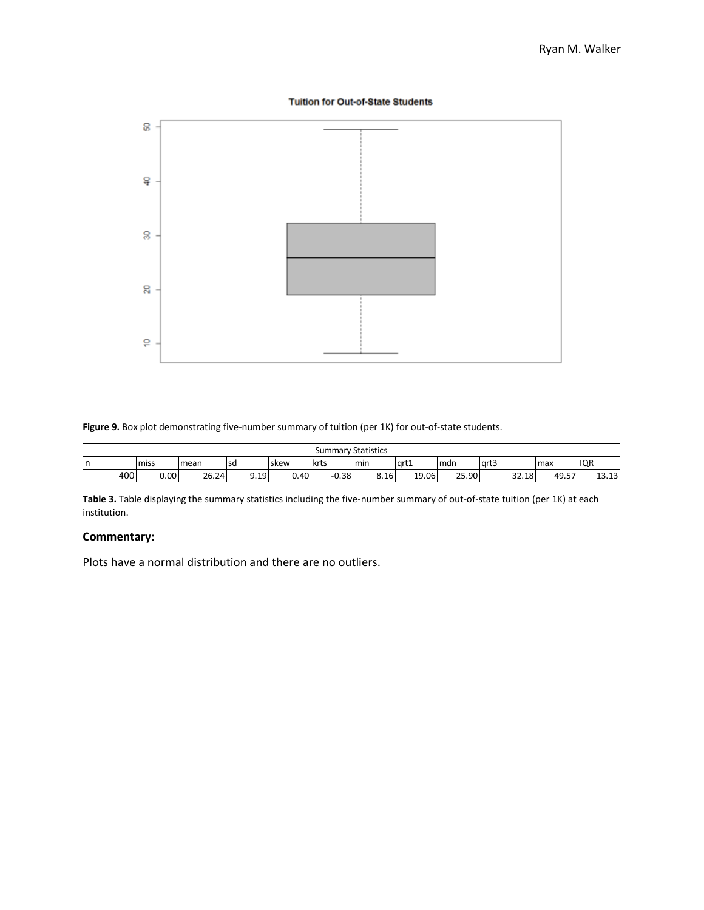#### **Tuition for Out-of-State Students**



**Figure 9.** Box plot demonstrating five-number summary of tuition (per 1K) for out-of-state students.

|     |      |       |      |      |         | <b>Summary Statistics</b> |       |       |        |       |                                             |  |  |  |  |  |
|-----|------|-------|------|------|---------|---------------------------|-------|-------|--------|-------|---------------------------------------------|--|--|--|--|--|
| n   | miss | mean  | l sd | skew | lkrts   | min                       | 'art1 | Imdn  | l art3 | max   | IQR                                         |  |  |  |  |  |
| 400 | 0.00 | 26.24 | 9.19 | 0.40 | $-0.38$ | 8.16                      | 19.06 | 25.90 | 32.18  | 49.57 | $\sim$<br>$\ddot{\phantom{1}}$<br>د 1.5 د 1 |  |  |  |  |  |

**Table 3.** Table displaying the summary statistics including the five-number summary of out-of-state tuition (per 1K) at each institution.

# **Commentary:**

Plots have a normal distribution and there are no outliers.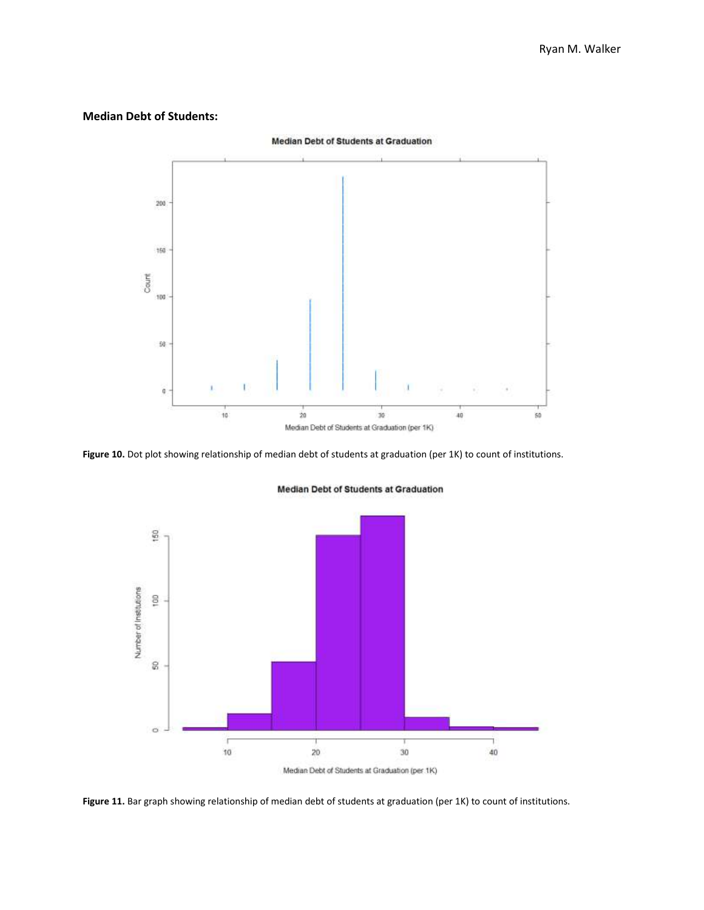#### **Median Debt of Students:**



**Figure 10.** Dot plot showing relationship of median debt of students at graduation (per 1K) to count of institutions.



Median Debt of Students at Graduation

Figure 11. Bar graph showing relationship of median debt of students at graduation (per 1K) to count of institutions.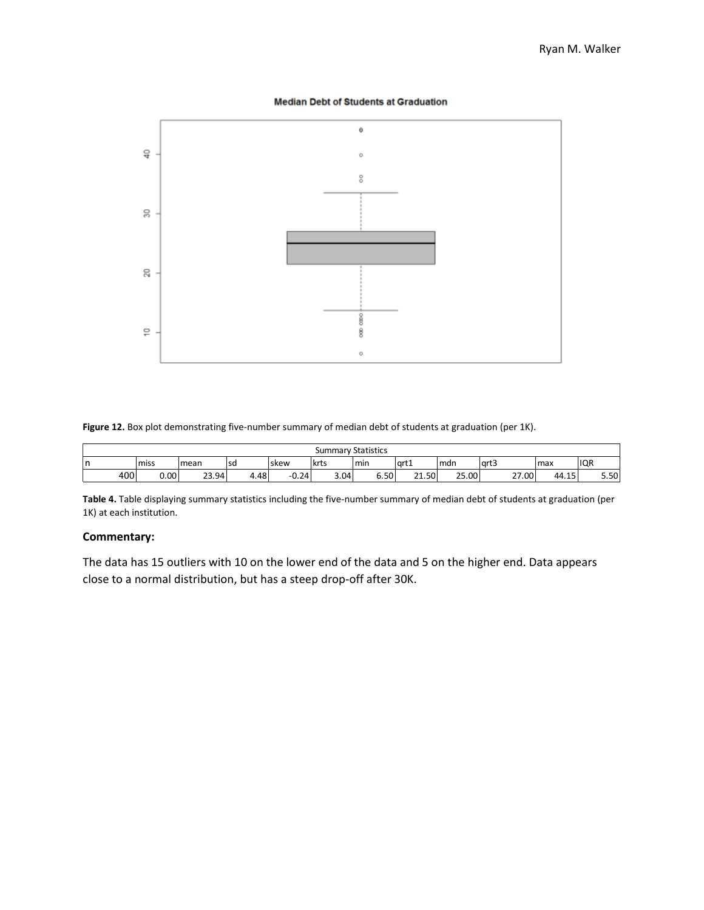#### **Median Debt of Students at Graduation**



**Figure 12.** Box plot demonstrating five-number summary of median debt of students at graduation (per 1K).

|        |      |       |           |         | <b>Summary Statistics</b> |      |       |       |       |             |      |
|--------|------|-------|-----------|---------|---------------------------|------|-------|-------|-------|-------------|------|
| r<br>ш | miss | mean  | <b>sd</b> | skew    | krts                      | min  | grt1  | Imdn  | lart3 | max         | IQR  |
| 400    | 0.00 | 23.94 | 4.48      | $-0.24$ | 3.04                      | 6.50 | 21.50 | 25.00 | 27.00 | 15<br>44.15 | 5.50 |

**Table 4.** Table displaying summary statistics including the five-number summary of median debt of students at graduation (per 1K) at each institution.

# **Commentary:**

The data has 15 outliers with 10 on the lower end of the data and 5 on the higher end. Data appears close to a normal distribution, but has a steep drop-off after 30K.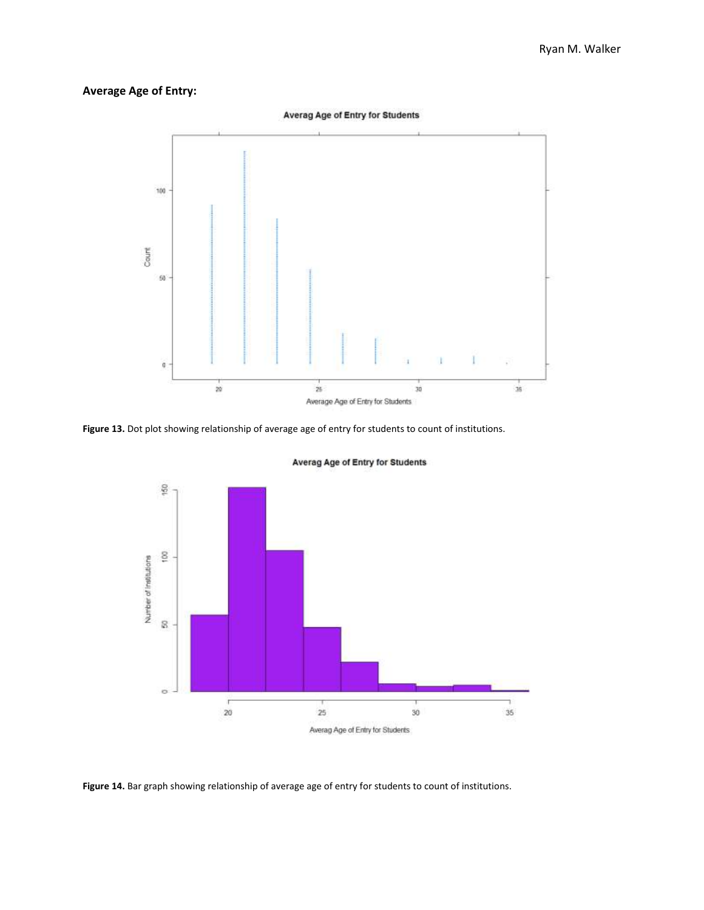# **Average Age of Entry:**



**Figure 13.** Dot plot showing relationship of average age of entry for students to count of institutions.



Averag Age of Entry for Students

**Figure 14.** Bar graph showing relationship of average age of entry for students to count of institutions.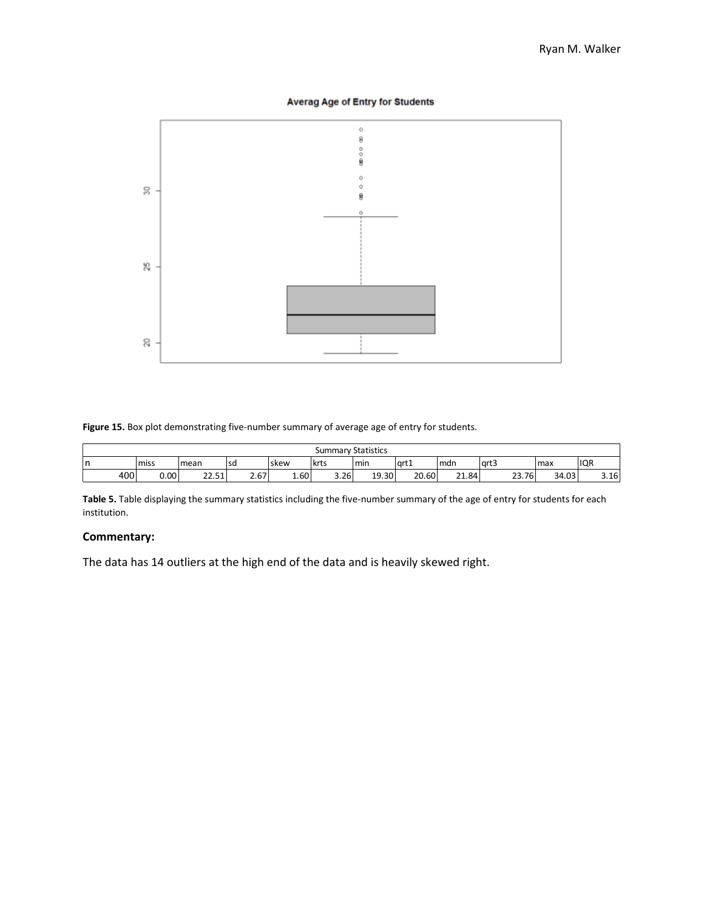# **Averag Age of Entry for Students**



#### **Figure 15.** Box plot demonstrating five-number summary of average age of entry for students.

|    |                                                                                           |      |                       |                |      | <b>Summary Statistics</b> |       |       |                       |       |       |              |
|----|-------------------------------------------------------------------------------------------|------|-----------------------|----------------|------|---------------------------|-------|-------|-----------------------|-------|-------|--------------|
| Ir | <b>IQR</b><br>art3<br>art1<br>krts<br>l sd<br>min<br>miss<br>Imax<br>mean<br>Imdn<br>skew |      |                       |                |      |                           |       |       |                       |       |       |              |
|    | 400                                                                                       | 0.00 | $\mathbf{a}$<br>22.51 | $\sim$<br>2.UT | 1.60 | 3.26                      | 19.30 | 20.60 | $\mathbf{a}$<br>21.84 | 23.76 | 34.03 | 2.4c<br>3.1b |

**Table 5.** Table displaying the summary statistics including the five-number summary of the age of entry for students for each institution.

# **Commentary:**

The data has 14 outliers at the high end of the data and is heavily skewed right.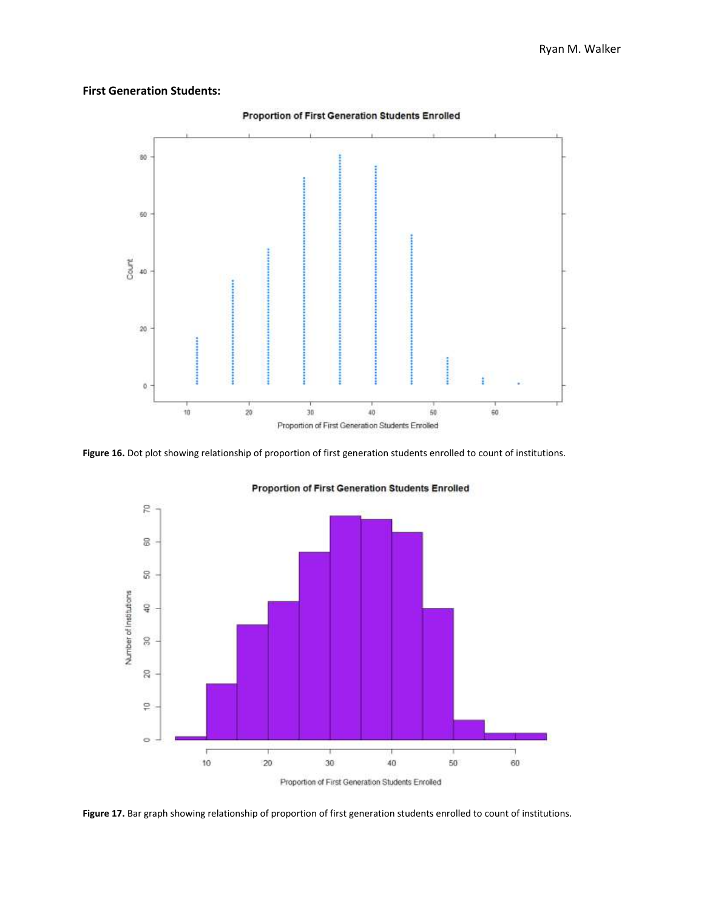# **First Generation Students:**



**Figure 16.** Dot plot showing relationship of proportion of first generation students enrolled to count of institutions.



Proportion of First Generation Students Enrolled

**Figure 17.** Bar graph showing relationship of proportion of first generation students enrolled to count of institutions.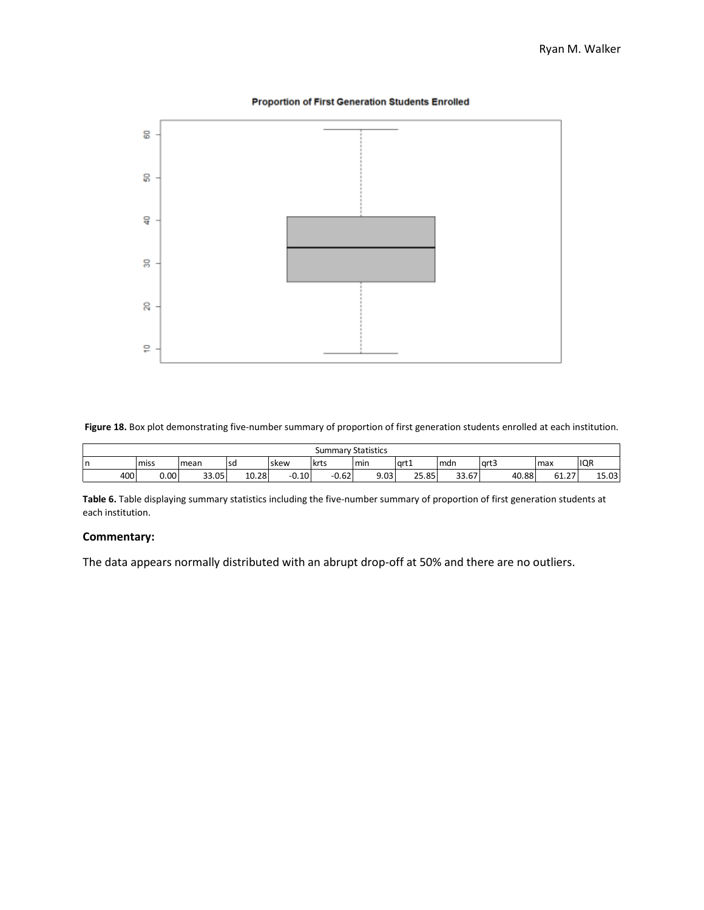



**Figure 18.** Box plot demonstrating five-number summary of proportion of first generation students enrolled at each institution.

|     | <b>Summary Statistics</b> |       |       |             |         |      |             |       |        |              |            |  |
|-----|---------------------------|-------|-------|-------------|---------|------|-------------|-------|--------|--------------|------------|--|
| ın  | miss                      | mean  | l SQ  | <b>skew</b> | krts    | min  | l art1      | mdn   | l art3 | Imax         | <b>IQR</b> |  |
| 400 | 0.00                      | 33.05 | 10.28 | $-0.10$     | $-0.62$ | 9.03 | つに<br>25.85 | 33.67 | 40.88  | ר ר<br>61.2. | 15.03      |  |

**Table 6.** Table displaying summary statistics including the five-number summary of proportion of first generation students at each institution.

# **Commentary:**

The data appears normally distributed with an abrupt drop-off at 50% and there are no outliers.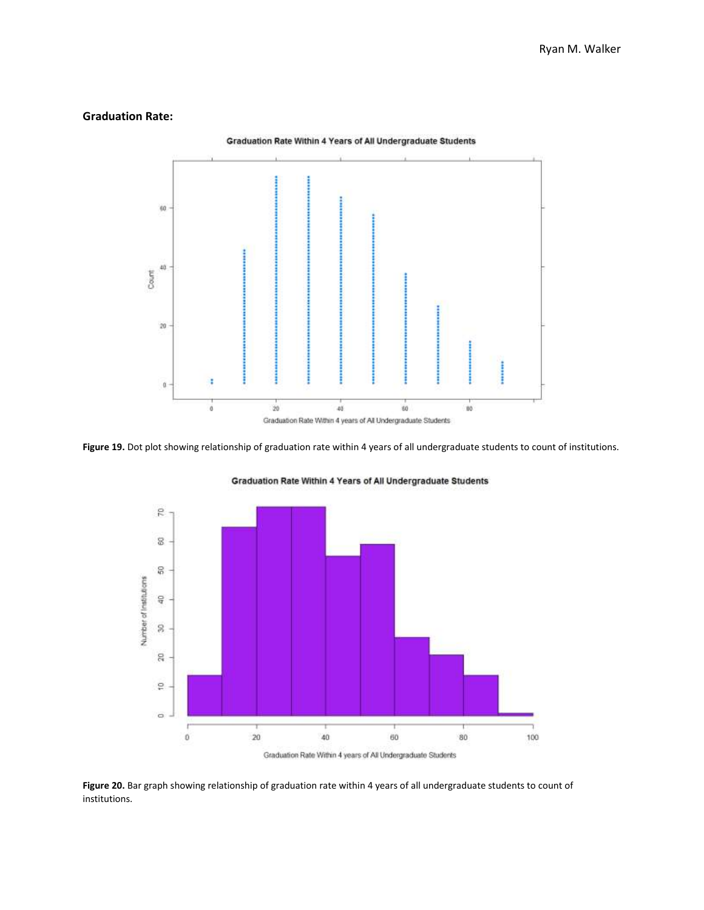#### **Graduation Rate:**



**Figure 19.** Dot plot showing relationship of graduation rate within 4 years of all undergraduate students to count of institutions.



Graduation Rate Within 4 Years of All Undergraduate Students

**Figure 20.** Bar graph showing relationship of graduation rate within 4 years of all undergraduate students to count of institutions.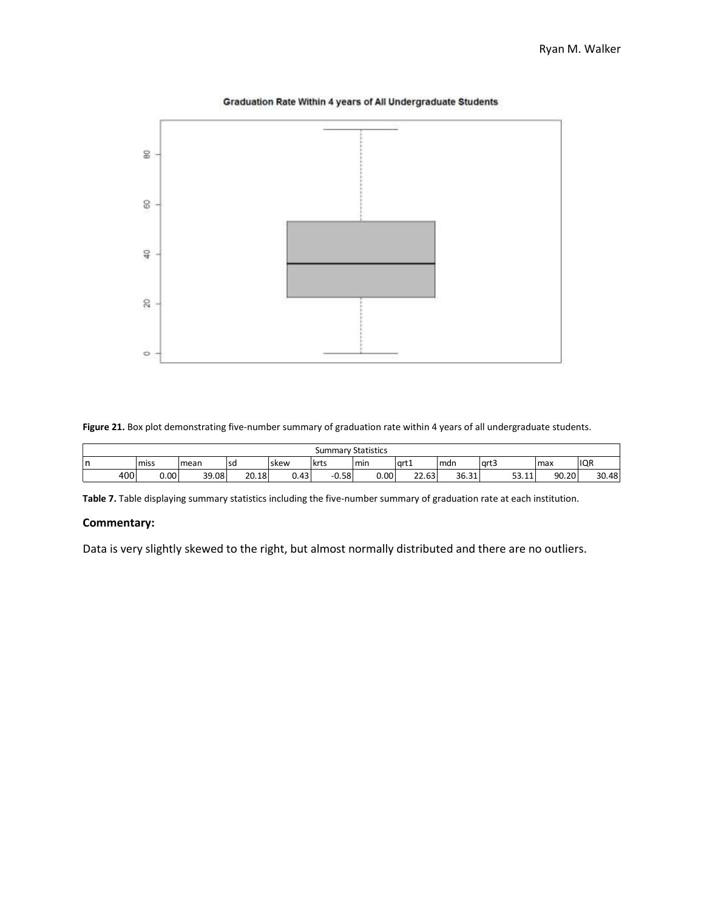

Graduation Rate Within 4 years of All Undergraduate Students

**Figure 21.** Box plot demonstrating five-number summary of graduation rate within 4 years of all undergraduate students.

|                                                                                                | <b>Summary Statistics</b> |       |       |       |      |         |      |                       |       |             |       |       |
|------------------------------------------------------------------------------------------------|---------------------------|-------|-------|-------|------|---------|------|-----------------------|-------|-------------|-------|-------|
| <b>IQR</b><br>miss<br>l art3<br>art1<br>krts<br>min<br>mdn<br>max<br>l sd<br>n<br>mean<br>skew |                           |       |       |       |      |         |      |                       |       |             |       |       |
|                                                                                                | 400                       | 0.00. | 39.08 | 20.18 | 0.43 | $-0.58$ | 0.00 | $\mathbf{a}$<br>22.63 | 36.31 | 53.11<br>11 | 90.20 | 30.48 |

**Table 7.** Table displaying summary statistics including the five-number summary of graduation rate at each institution.

#### **Commentary:**

Data is very slightly skewed to the right, but almost normally distributed and there are no outliers.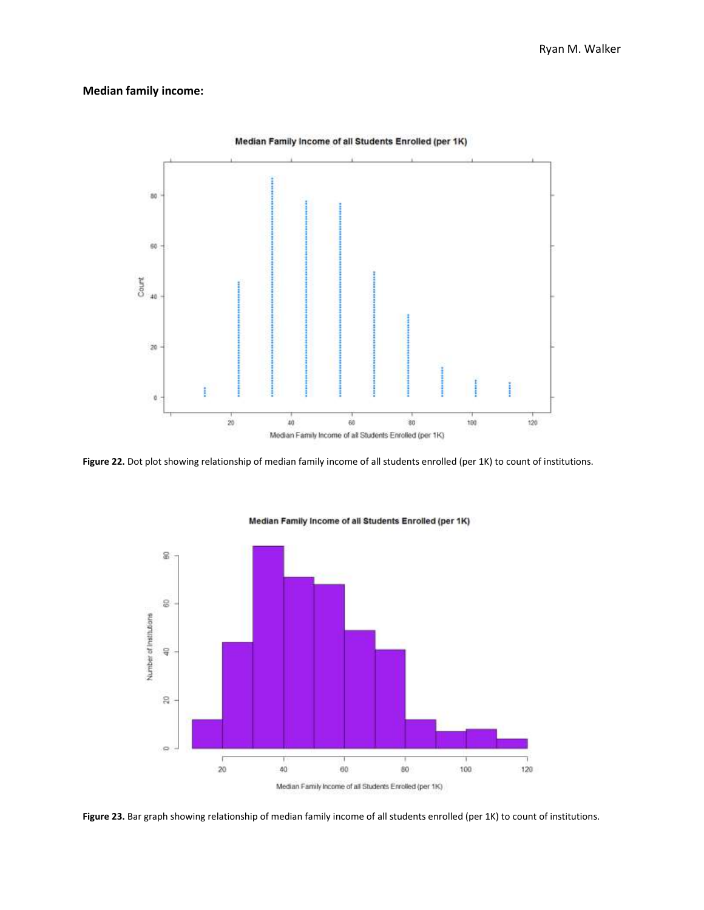## **Median family income:**



**Figure 22.** Dot plot showing relationship of median family income of all students enrolled (per 1K) to count of institutions.



Median Family Income of all Students Enrolled (per 1K)

**Figure 23.** Bar graph showing relationship of median family income of all students enrolled (per 1K) to count of institutions.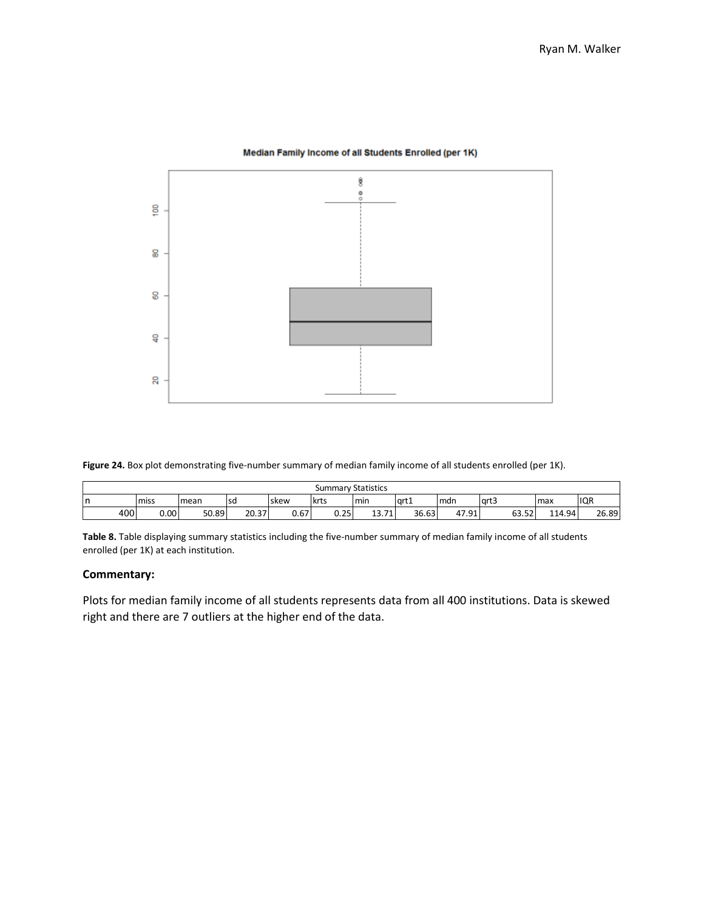

#### Median Family Income of all Students Enrolled (per 1K)

**Figure 24.** Box plot demonstrating five-number summary of median family income of all students enrolled (per 1K).

|   | <b>Summary Statistics</b>                                                                |      |       |       |      |      |                        |       |       |       |        |       |  |
|---|------------------------------------------------------------------------------------------|------|-------|-------|------|------|------------------------|-------|-------|-------|--------|-------|--|
| n | IQR<br>art3<br>art1<br>krts<br>l sd<br>Imdn<br>max<br>min<br>miss<br>mean<br><b>skew</b> |      |       |       |      |      |                        |       |       |       |        |       |  |
|   | 400                                                                                      | 0.00 | 50.89 | 20.37 | 0.67 | 0.25 | 74<br>$\sim$<br>13.7 T | 36.63 | 47.91 | 63.52 | 114.94 | 26.89 |  |

**Table 8.** Table displaying summary statistics including the five-number summary of median family income of all students enrolled (per 1K) at each institution.

#### **Commentary:**

Plots for median family income of all students represents data from all 400 institutions. Data is skewed right and there are 7 outliers at the higher end of the data.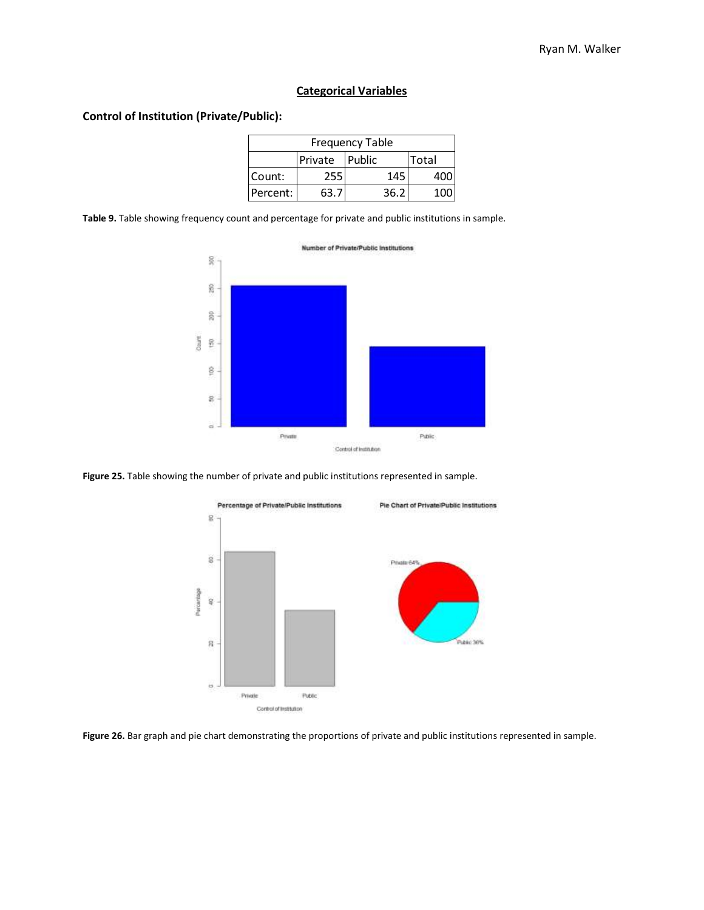# **Categorical Variables**

# **Control of Institution (Private/Public):**

|          |                | <b>Frequency Table</b> |       |
|----------|----------------|------------------------|-------|
|          | Private Public |                        | Total |
| Count:   | 255            | 145                    | 400   |
| Percent: | 63.            | 36.2                   |       |

**Table 9.** Table showing frequency count and percentage for private and public institutions in sample.



**Figure 25.** Table showing the number of private and public institutions represented in sample.



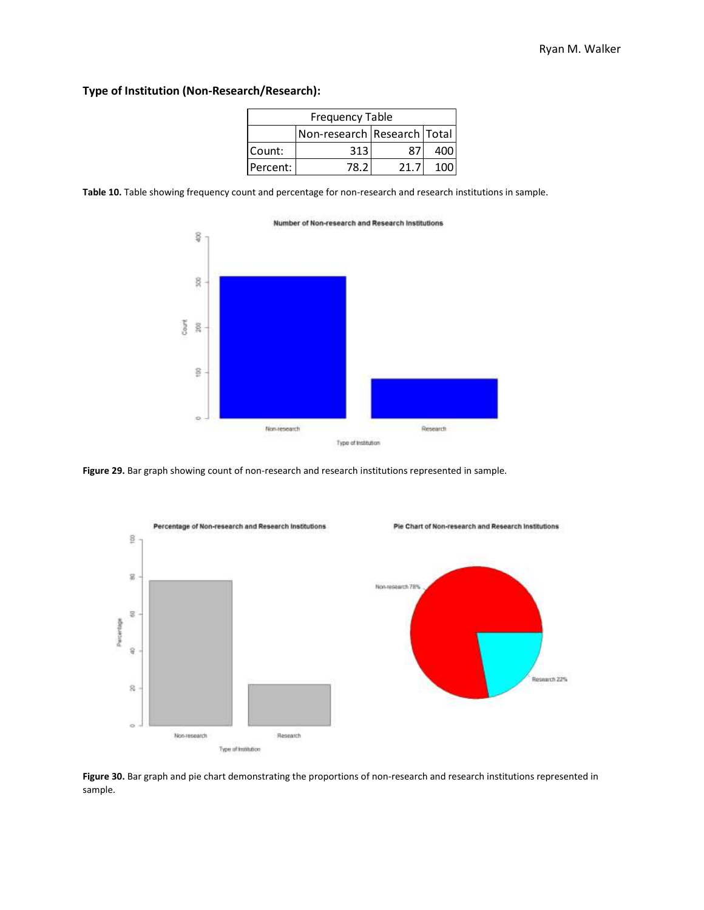# **Type of Institution (Non-Research/Research):**

|          | <b>Frequency Table</b>      |      |     |
|----------|-----------------------------|------|-----|
|          | Non-research Research Total |      |     |
| Count:   | 313                         |      | 400 |
| Percent: | 78.21                       | 21.7 | 100 |

**Table 10.** Table showing frequency count and percentage for non-research and research institutions in sample.



**Figure 29.** Bar graph showing count of non-research and research institutions represented in sample.



**Figure 30.** Bar graph and pie chart demonstrating the proportions of non-research and research institutions represented in sample.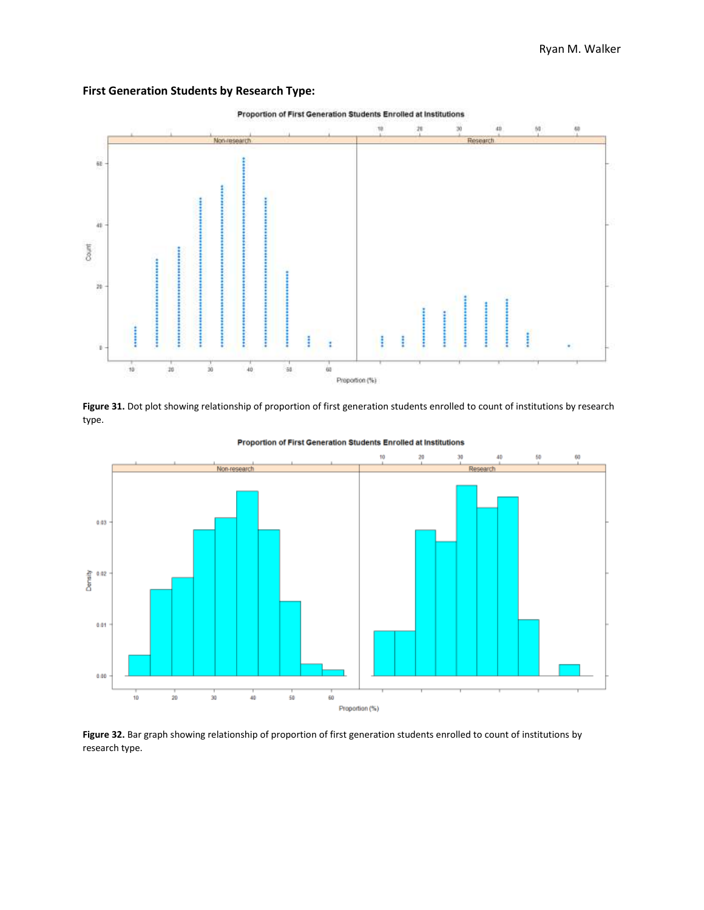



Figure 31. Dot plot showing relationship of proportion of first generation students enrolled to count of institutions by research type.



Proportion of First Generation Students Enrolled at Institutions

**Figure 32.** Bar graph showing relationship of proportion of first generation students enrolled to count of institutions by research type.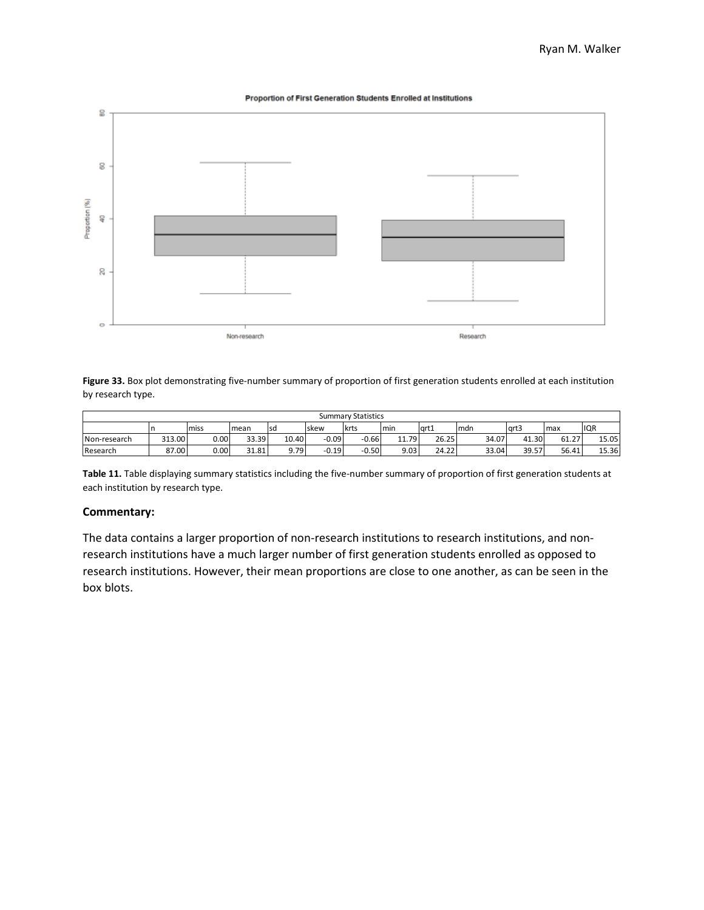#### Proportion of First Generation Students Enrolled at Institutions



**Figure 33.** Box plot demonstrating five-number summary of proportion of first generation students enrolled at each institution by research type.

|              |        |      |       |       |         | <b>Summary Statistics</b> |               |       |       |       |       |            |
|--------------|--------|------|-------|-------|---------|---------------------------|---------------|-------|-------|-------|-------|------------|
|              |        | miss | mean  | lsd   | Iskew   | <b>krts</b>               | min           | qrt1  | Imdn  | art3  | max   | <b>IQR</b> |
| Non-research | 313.00 | 0.00 | 33.39 | 10.40 | $-0.09$ | $-0.66$                   | 79<br>11<br>. | 26.25 | 34.07 | 41.30 | 61.27 | 15.05      |
| Research     | 87.00  | 0.00 | 31.81 | 9.79  | $-0.19$ | $-0.50$                   | 9.03          | 24.22 | 33.04 | 39.57 | 56.41 | 15.36      |

**Table 11.** Table displaying summary statistics including the five-number summary of proportion of first generation students at each institution by research type.

#### **Commentary:**

The data contains a larger proportion of non-research institutions to research institutions, and nonresearch institutions have a much larger number of first generation students enrolled as opposed to research institutions. However, their mean proportions are close to one another, as can be seen in the box blots.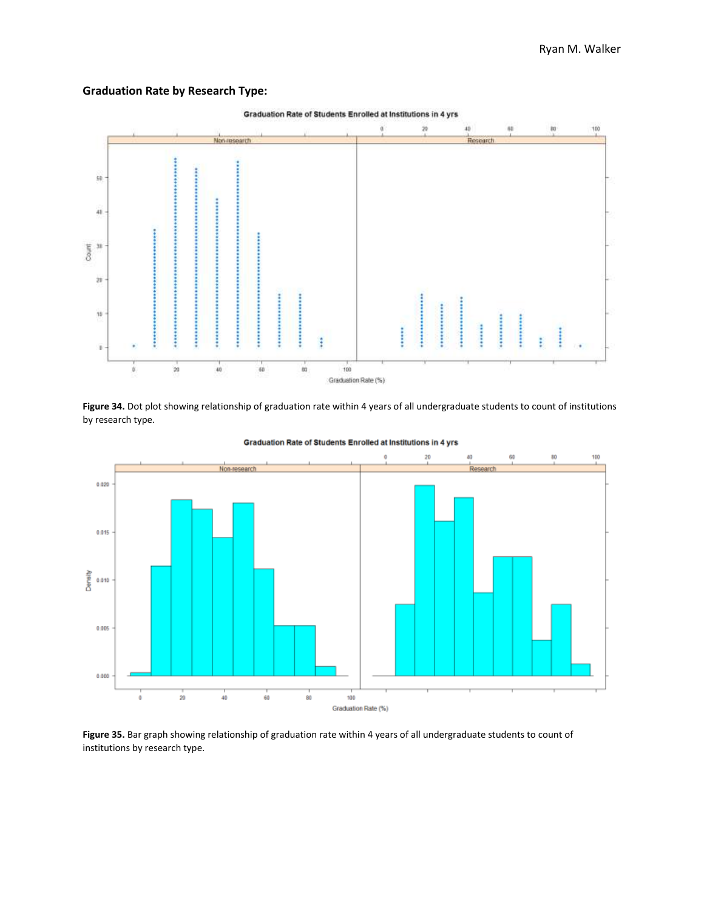# **Graduation Rate by Research Type:**



Figure 34. Dot plot showing relationship of graduation rate within 4 years of all undergraduate students to count of institutions by research type.



Graduation Rate of Students Enrolled at Institutions in 4 yrs

**Figure 35.** Bar graph showing relationship of graduation rate within 4 years of all undergraduate students to count of institutions by research type.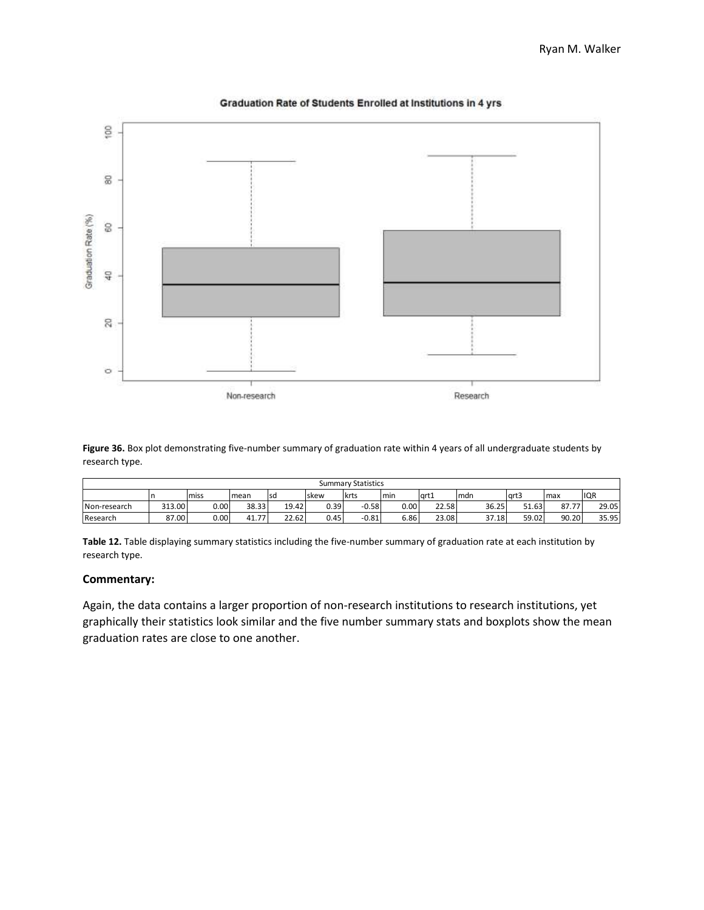

#### Graduation Rate of Students Enrolled at Institutions in 4 yrs

**Figure 36.** Box plot demonstrating five-number summary of graduation rate within 4 years of all undergraduate students by research type.

|              |        |       |       |       |              | <b>Summary Statistics</b> |        |       |       |       |       |            |
|--------------|--------|-------|-------|-------|--------------|---------------------------|--------|-------|-------|-------|-------|------------|
|              |        | miss  | mean  | Isd   | <b>Iskew</b> | <b>Ikrts</b>              | min    | art1  | mdn   | grt3  | max   | <b>IQR</b> |
| Non-research | 313.00 | 0.001 | 38.33 | 19.42 | 0.39         | $-0.58$                   | 0.00   | 22.58 | 36.25 | 51.63 | 87.77 | 29.05      |
| Research     | 87.00  | 0.00  | 41.77 | 22.62 | 0.45         | $-0.81$                   | ا 86.ه | 23.08 | 37.18 | 59.02 | 90.20 | 35.95      |

**Table 12.** Table displaying summary statistics including the five-number summary of graduation rate at each institution by research type.

# **Commentary:**

Again, the data contains a larger proportion of non-research institutions to research institutions, yet graphically their statistics look similar and the five number summary stats and boxplots show the mean graduation rates are close to one another.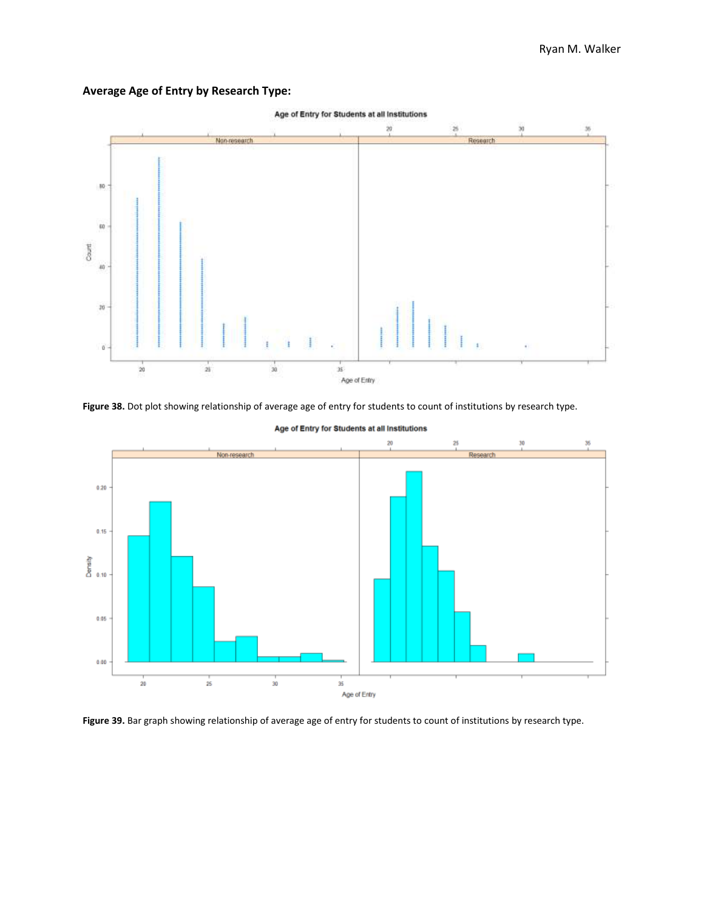



**Figure 38.** Dot plot showing relationship of average age of entry for students to count of institutions by research type.



Age of Entry for Students at all Institutions

**Figure 39.** Bar graph showing relationship of average age of entry for students to count of institutions by research type.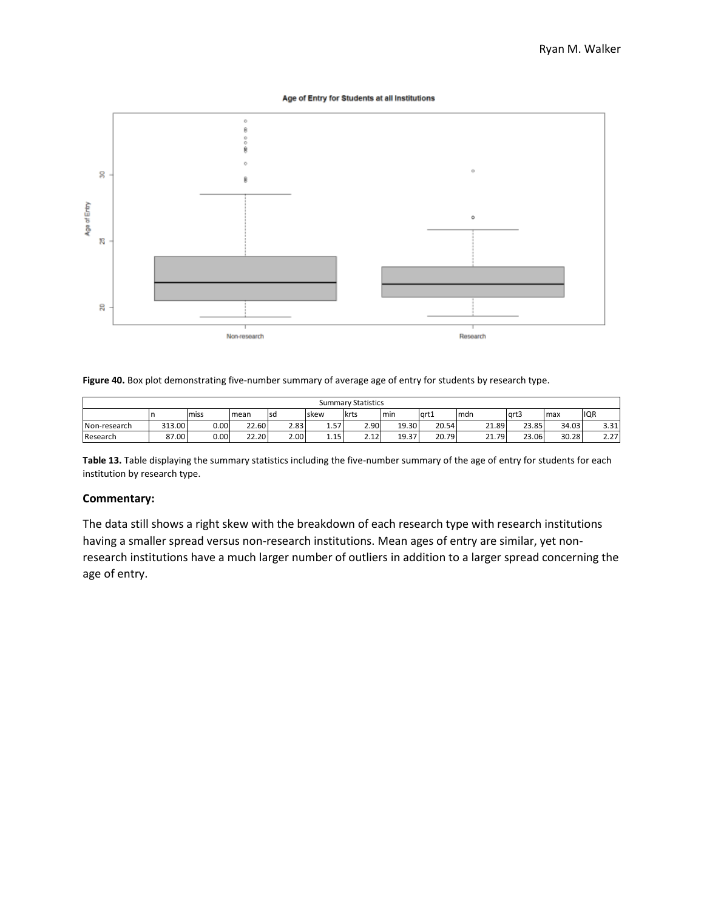Age of Entry for Students at all Institutions



**Figure 40.** Box plot demonstrating five-number summary of average age of entry for students by research type.

|              | <b>Summary Statistics</b> |          |       |      |           |              |       |       |       |       |       |            |  |  |
|--------------|---------------------------|----------|-------|------|-----------|--------------|-------|-------|-------|-------|-------|------------|--|--|
|              |                           | miss     | mean  | lsd  | Iskew     | <b>Ikrts</b> | Imin  | art1  | mdn   | art3  | max   | <b>IQR</b> |  |  |
| Non-research | 313.00                    | $0.00\,$ | 22.60 | 2.83 | 57<br>⊥.J | 2.90         | 19.30 | 20.54 | 21.89 | 23.85 | 34.03 | 3.31       |  |  |
| Research     | 87.00                     | $0.00\,$ | 22.20 | 2.00 | 1.15      | 2121<br>2.IZ | 19.37 | 20.79 | 21.79 | 23.06 | 30.28 | 2.27       |  |  |

**Table 13.** Table displaying the summary statistics including the five-number summary of the age of entry for students for each institution by research type.

# **Commentary:**

The data still shows a right skew with the breakdown of each research type with research institutions having a smaller spread versus non-research institutions. Mean ages of entry are similar, yet nonresearch institutions have a much larger number of outliers in addition to a larger spread concerning the age of entry.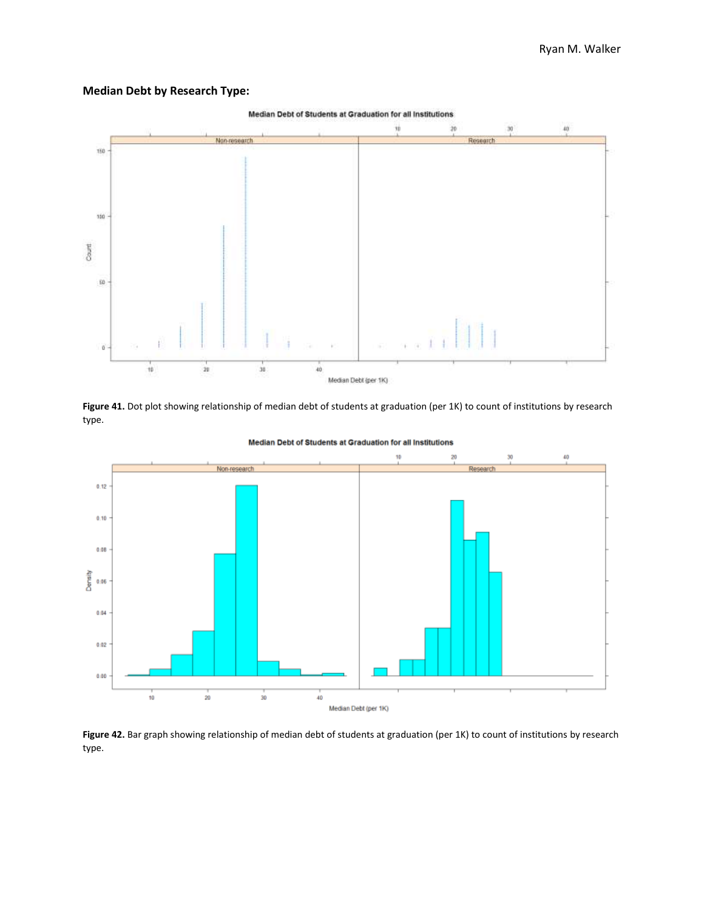# **Median Debt by Research Type:**



Figure 41. Dot plot showing relationship of median debt of students at graduation (per 1K) to count of institutions by research type.



Median Debt of Students at Graduation for all Institutions

Figure 42. Bar graph showing relationship of median debt of students at graduation (per 1K) to count of institutions by research type.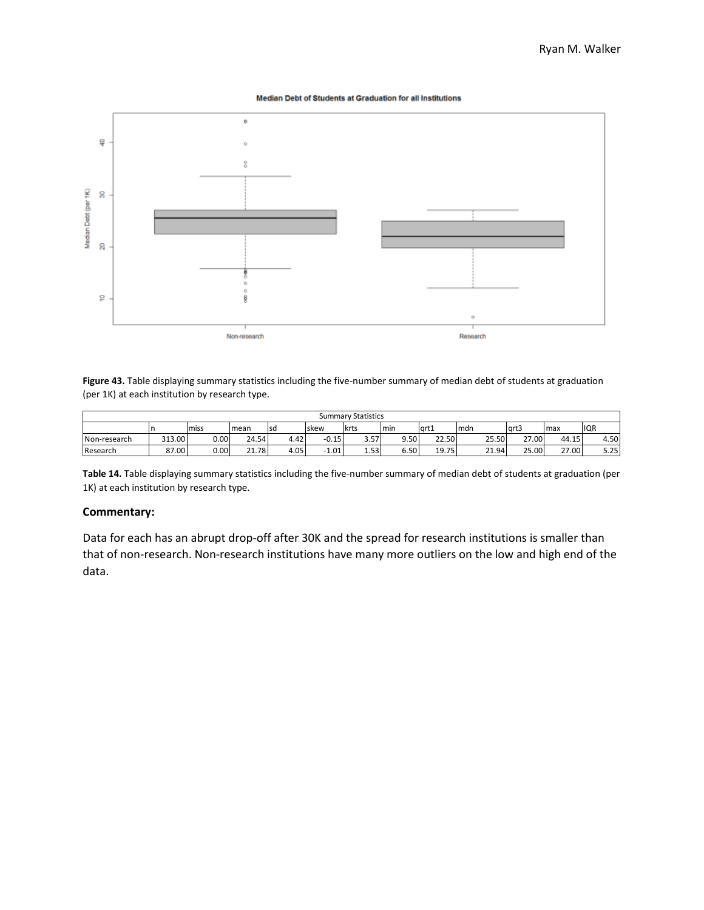Median Debt of Students at Graduation for all Institutions



**Figure 43.** Table displaying summary statistics including the five-number summary of median debt of students at graduation (per 1K) at each institution by research type.

|              | <b>Summary Statistics</b> |      |             |      |         |             |        |       |       |       |       |            |  |  |  |
|--------------|---------------------------|------|-------------|------|---------|-------------|--------|-------|-------|-------|-------|------------|--|--|--|
|              |                           | miss | mean        | Isd  | Iskew   | <b>krts</b> | min    | art1  | Imdn  | art3  | max   | <b>IQR</b> |  |  |  |
| Non-research | 313.00                    | 0.00 | 24.54       | 4.42 | $-0.15$ | 3.57        | 9.50   | 22.50 | 25.50 | 27.00 | 44.15 | 4.50       |  |  |  |
| Research     | 87.00                     | 0.00 | $\sim$ 1.78 | 4.05 | 1.01    | 1.53        | ا 50.د | 19.75 | 21.94 | 25.00 | 27.00 | 5.25       |  |  |  |

**Table 14.** Table displaying summary statistics including the five-number summary of median debt of students at graduation (per 1K) at each institution by research type.

#### **Commentary:**

Data for each has an abrupt drop-off after 30K and the spread for research institutions is smaller than that of non-research. Non-research institutions have many more outliers on the low and high end of the data.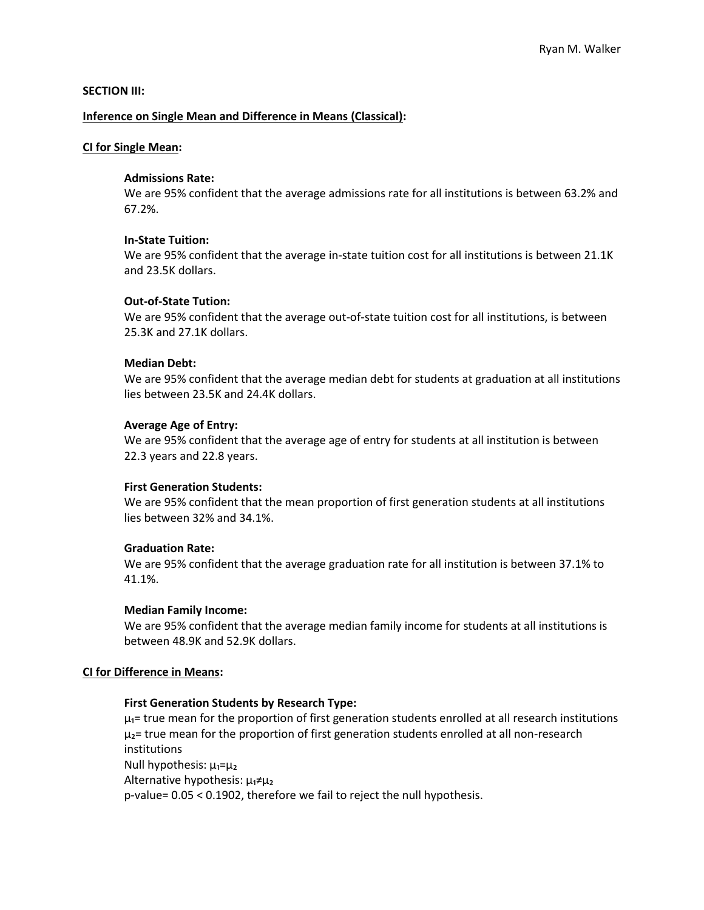# **SECTION III:**

# **Inference on Single Mean and Difference in Means (Classical):**

# **CI for Single Mean:**

# **Admissions Rate:**

We are 95% confident that the average admissions rate for all institutions is between 63.2% and 67.2%.

# **In-State Tuition:**

We are 95% confident that the average in-state tuition cost for all institutions is between 21.1K and 23.5K dollars.

# **Out-of-State Tution:**

We are 95% confident that the average out-of-state tuition cost for all institutions, is between 25.3K and 27.1K dollars.

# **Median Debt:**

We are 95% confident that the average median debt for students at graduation at all institutions lies between 23.5K and 24.4K dollars.

# **Average Age of Entry:**

We are 95% confident that the average age of entry for students at all institution is between 22.3 years and 22.8 years.

# **First Generation Students:**

We are 95% confident that the mean proportion of first generation students at all institutions lies between 32% and 34.1%.

# **Graduation Rate:**

We are 95% confident that the average graduation rate for all institution is between 37.1% to 41.1%.

# **Median Family Income:**

We are 95% confident that the average median family income for students at all institutions is between 48.9K and 52.9K dollars.

# **CI for Difference in Means:**

# **First Generation Students by Research Type:**

 $\mu_1$ = true mean for the proportion of first generation students enrolled at all research institutions  $\mu_2$ = true mean for the proportion of first generation students enrolled at all non-research institutions Null hypothesis: μ₁=μ₂ Alternative hypothesis: μ₁≠μ₂

p-value= 0.05 < 0.1902, therefore we fail to reject the null hypothesis.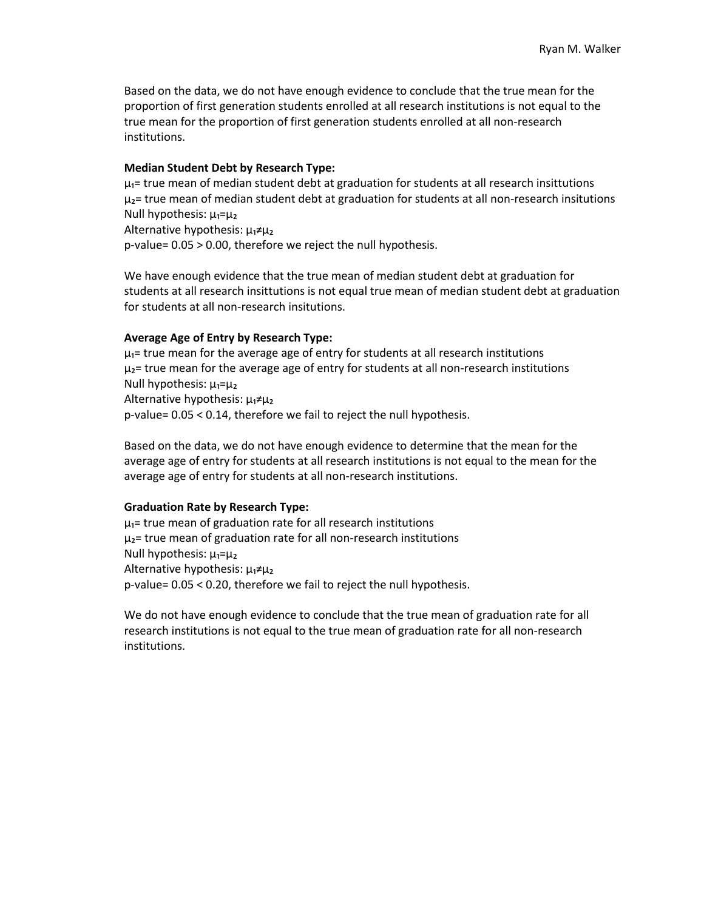Based on the data, we do not have enough evidence to conclude that the true mean for the proportion of first generation students enrolled at all research institutions is not equal to the true mean for the proportion of first generation students enrolled at all non-research institutions.

#### **Median Student Debt by Research Type:**

 $\mu_1$ = true mean of median student debt at graduation for students at all research insittutions  $\mu_2$ = true mean of median student debt at graduation for students at all non-research insitutions Null hypothesis: μ₁=μ₂

Alternative hypothesis:  $\mu_1 \neq \mu_2$ p-value= 0.05 > 0.00, therefore we reject the null hypothesis.

We have enough evidence that the true mean of median student debt at graduation for students at all research insittutions is not equal true mean of median student debt at graduation for students at all non-research insitutions.

## **Average Age of Entry by Research Type:**

 $\mu_1$ = true mean for the average age of entry for students at all research institutions  $\mu_2$ = true mean for the average age of entry for students at all non-research institutions Null hypothesis:  $\mu_1 = \mu_2$ Alternative hypothesis:  $\mu_1 \neq \mu_2$ p-value= 0.05 < 0.14, therefore we fail to reject the null hypothesis.

Based on the data, we do not have enough evidence to determine that the mean for the average age of entry for students at all research institutions is not equal to the mean for the average age of entry for students at all non-research institutions.

#### **Graduation Rate by Research Type:**

 $\mu_1$ = true mean of graduation rate for all research institutions  $\mu_2$ = true mean of graduation rate for all non-research institutions Null hypothesis:  $\mu_1 = \mu_2$ Alternative hypothesis: μ₁≠μ₂ p-value= 0.05 < 0.20, therefore we fail to reject the null hypothesis.

We do not have enough evidence to conclude that the true mean of graduation rate for all research institutions is not equal to the true mean of graduation rate for all non-research institutions.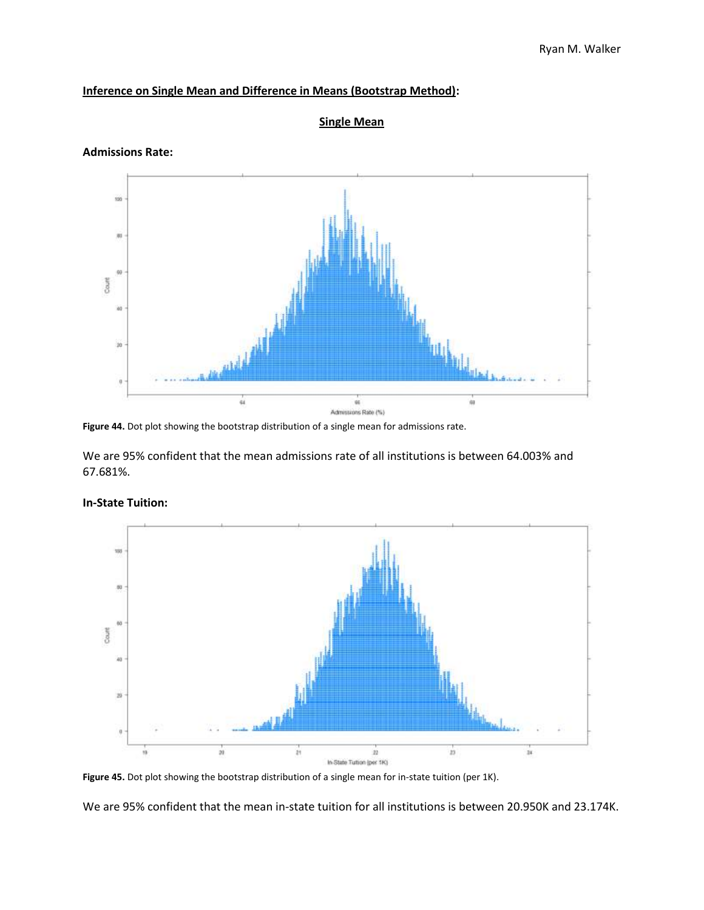# **Inference on Single Mean and Difference in Means (Bootstrap Method):**



**Single Mean**

# **Admissions Rate:**

Figure 44. Dot plot showing the bootstrap distribution of a single mean for admissions rate.

We are 95% confident that the mean admissions rate of all institutions is between 64.003% and 67.681%.



# **In-State Tuition:**

We are 95% confident that the mean in-state tuition for all institutions is between 20.950K and 23.174K.

**Figure 45.** Dot plot showing the bootstrap distribution of a single mean for in-state tuition (per 1K).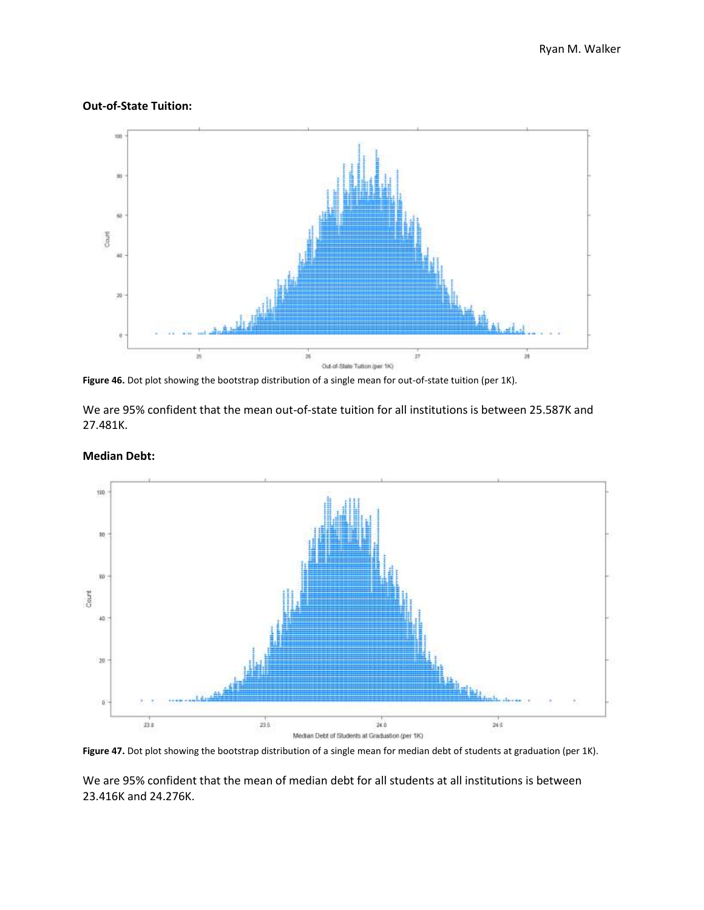# **Out-of-State Tuition:**



**Figure 46.** Dot plot showing the bootstrap distribution of a single mean for out-of-state tuition (per 1K).

We are 95% confident that the mean out-of-state tuition for all institutions is between 25.587K and 27.481K.



**Median Debt:**

Figure 47. Dot plot showing the bootstrap distribution of a single mean for median debt of students at graduation (per 1K).

We are 95% confident that the mean of median debt for all students at all institutions is between 23.416K and 24.276K.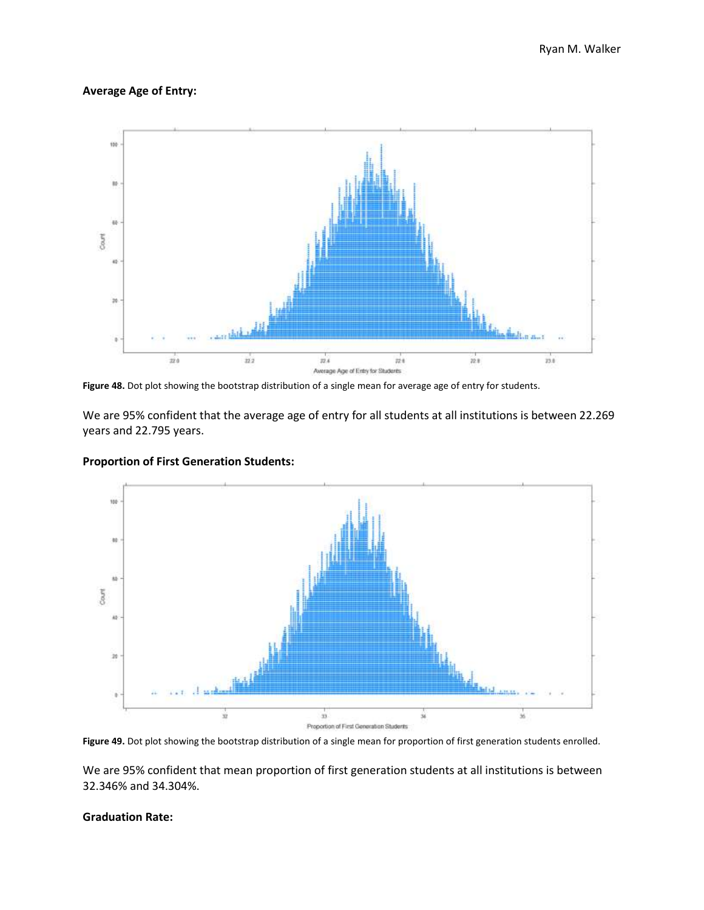# **Average Age of Entry:**



**Figure 48.** Dot plot showing the bootstrap distribution of a single mean for average age of entry for students.

We are 95% confident that the average age of entry for all students at all institutions is between 22.269 years and 22.795 years.



# **Proportion of First Generation Students:**

**Figure 49.** Dot plot showing the bootstrap distribution of a single mean for proportion of first generation students enrolled.

We are 95% confident that mean proportion of first generation students at all institutions is between 32.346% and 34.304%.

## **Graduation Rate:**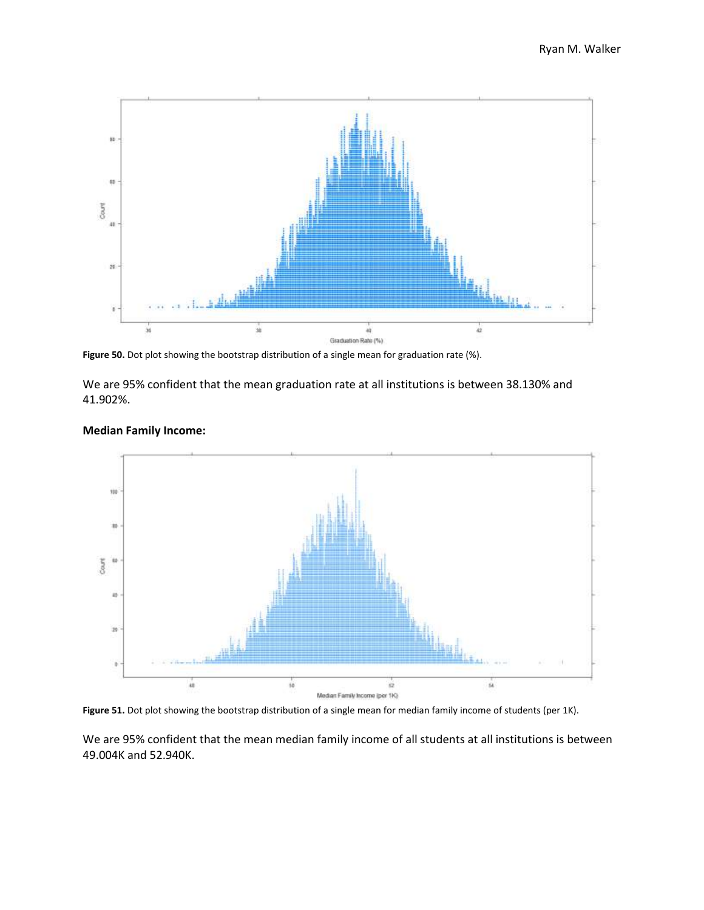

**Figure 50.** Dot plot showing the bootstrap distribution of a single mean for graduation rate (%).

We are 95% confident that the mean graduation rate at all institutions is between 38.130% and 41.902%.



# **Median Family Income:**

Figure 51. Dot plot showing the bootstrap distribution of a single mean for median family income of students (per 1K).

We are 95% confident that the mean median family income of all students at all institutions is between 49.004K and 52.940K.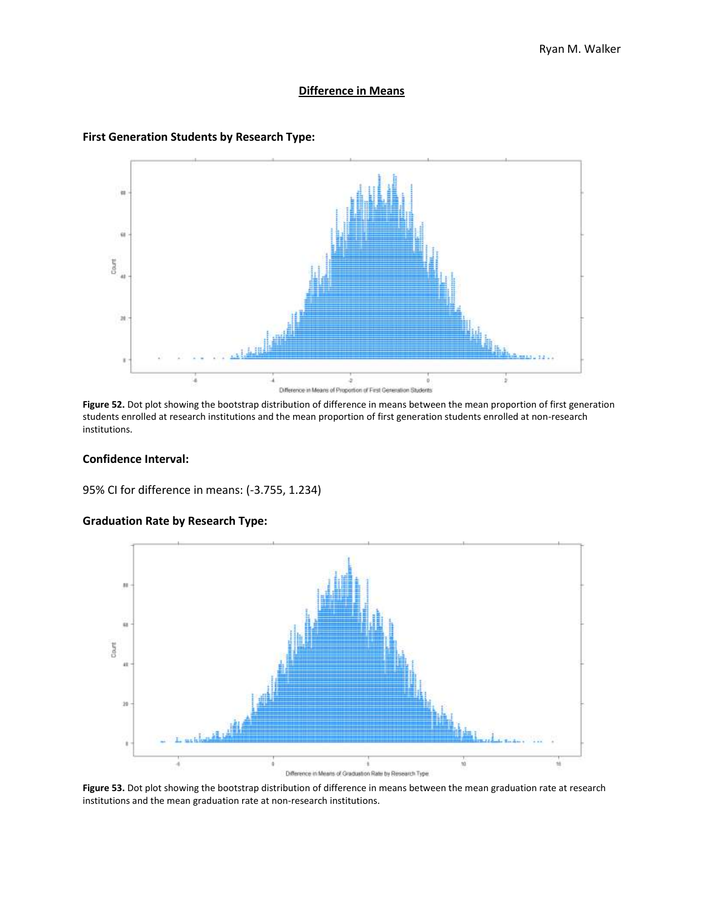#### **Difference in Means**



#### **First Generation Students by Research Type:**

**Figure 52.** Dot plot showing the bootstrap distribution of difference in means between the mean proportion of first generation students enrolled at research institutions and the mean proportion of first generation students enrolled at non-research institutions.

## **Confidence Interval:**

95% CI for difference in means: (-3.755, 1.234)



# **Graduation Rate by Research Type:**

**Figure 53.** Dot plot showing the bootstrap distribution of difference in means between the mean graduation rate at research institutions and the mean graduation rate at non-research institutions.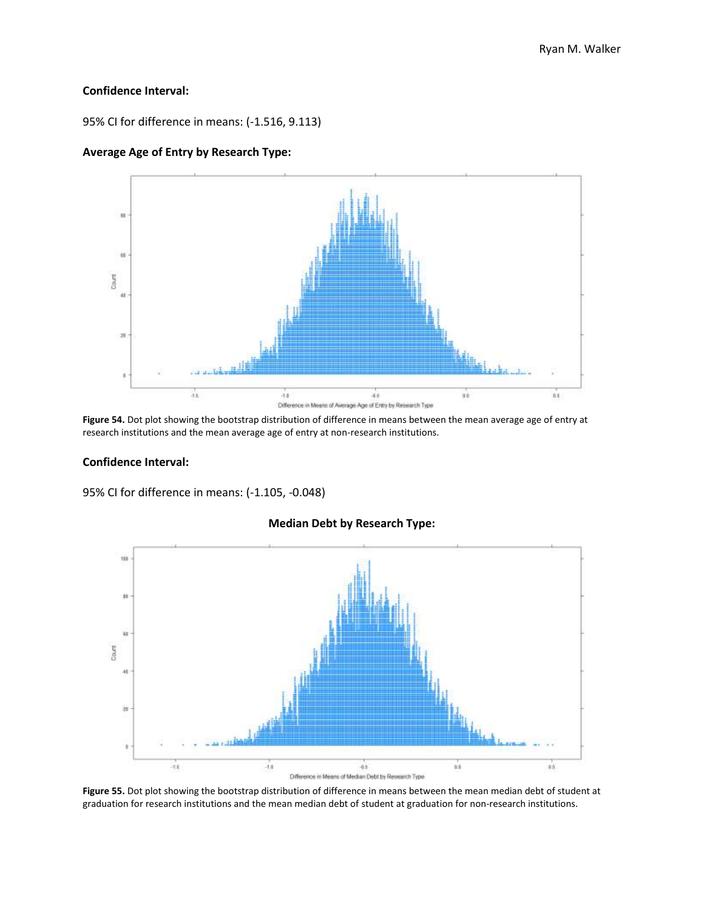# **Confidence Interval:**

95% CI for difference in means: (-1.516, 9.113)

# **Average Age of Entry by Research Type:**



**Figure 54.** Dot plot showing the bootstrap distribution of difference in means between the mean average age of entry at research institutions and the mean average age of entry at non-research institutions.

# **Confidence Interval:**

95% CI for difference in means: (-1.105, -0.048)



#### **Median Debt by Research Type:**

**Figure 55.** Dot plot showing the bootstrap distribution of difference in means between the mean median debt of student at graduation for research institutions and the mean median debt of student at graduation for non-research institutions.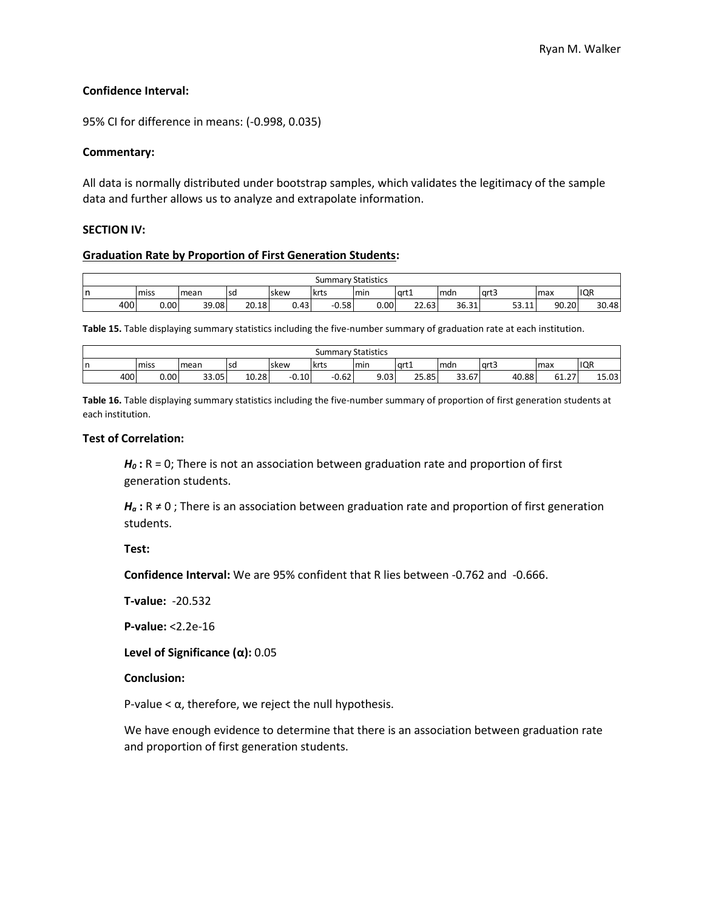# **Confidence Interval:**

95% CI for difference in means: (-0.998, 0.035)

# **Commentary:**

All data is normally distributed under bootstrap samples, which validates the legitimacy of the sample data and further allows us to analyze and extrapolate information.

# **SECTION IV:**

#### **Graduation Rate by Proportion of First Generation Students:**

|    | <b>Summary Statistics</b> |      |       |       |       |         |      |       |       |                           |       |            |  |
|----|---------------------------|------|-------|-------|-------|---------|------|-------|-------|---------------------------|-------|------------|--|
| Ir |                           | miss | mean  | lsa   | Iskew | krts    | min. | qrt1  | mdn   | larts                     | max   | <b>IQR</b> |  |
|    | 400                       | 0.00 | 39.08 | 20.18 | 0.43  | $-0.58$ | 0.00 | 22.63 | 36.31 | <b>CO</b><br>11<br>التندر | 90.20 | 30.48      |  |

**Table 15.** Table displaying summary statistics including the five-number summary of graduation rate at each institution.

|     | <b>Summary Statistics</b> |       |           |         |             |      |       |       |       |                        |       |  |  |
|-----|---------------------------|-------|-----------|---------|-------------|------|-------|-------|-------|------------------------|-------|--|--|
| In  | miss                      | mean  | <b>SC</b> | skew    | <b>krts</b> | min  | 'art1 | Imdn  | grt3  | max                    | IQR   |  |  |
| 400 | 0.001                     | 33.05 | 10.28     | $-0.10$ | $-0.62$     | 9.03 | 25.85 | 33.67 | 40.88 | $\sim$ $\sim$<br>61.27 | 15.03 |  |  |

**Table 16.** Table displaying summary statistics including the five-number summary of proportion of first generation students at each institution.

# **Test of Correlation:**

*H<sup>0</sup>* **:** R = 0; There is not an association between graduation rate and proportion of first generation students.

 $H_a$ : R  $\neq$  0; There is an association between graduation rate and proportion of first generation students.

**Test:**

**Confidence Interval:** We are 95% confident that R lies between -0.762 and -0.666.

**T-value:** -20.532

**P-value:** <2.2e-16

**Level of Significance (α):** 0.05

# **Conclusion:**

P-value  $< \alpha$ , therefore, we reject the null hypothesis.

We have enough evidence to determine that there is an association between graduation rate and proportion of first generation students.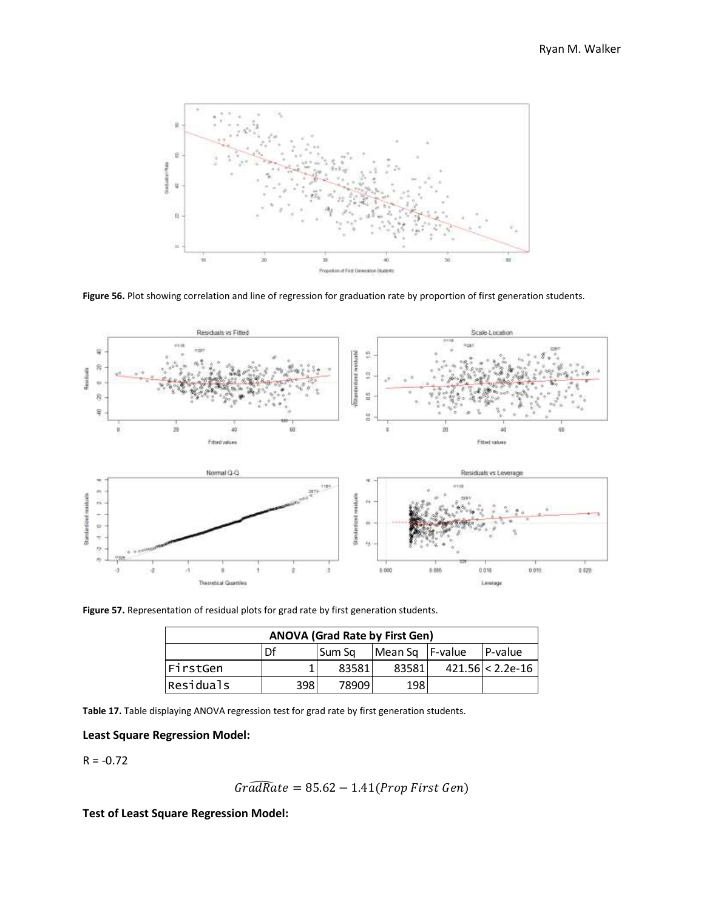

**Figure 56.** Plot showing correlation and line of regression for graduation rate by proportion of first generation students.

![](_page_37_Figure_3.jpeg)

**Figure 57.** Representation of residual plots for grad rate by first generation students.

| <b>ANOVA (Grad Rate by First Gen)</b> |     |          |                 |  |                    |  |  |  |  |  |  |  |
|---------------------------------------|-----|----------|-----------------|--|--------------------|--|--|--|--|--|--|--|
|                                       | Df  | l Sum Sa | Mean Sq F-value |  | IP-value           |  |  |  |  |  |  |  |
| FirstGen                              |     | 83581    | 83581           |  | $421.56 < 2.2e-16$ |  |  |  |  |  |  |  |
| Residuals                             | 398 | 78909    | 198             |  |                    |  |  |  |  |  |  |  |

**Table 17.** Table displaying ANOVA regression test for grad rate by first generation students.

# **Least Square Regression Model:**

 $R = -0.72$ 

$$
Gr\widehat{adRate} = 85.62 - 1.41 (Prop First Gen)
$$

**Test of Least Square Regression Model:**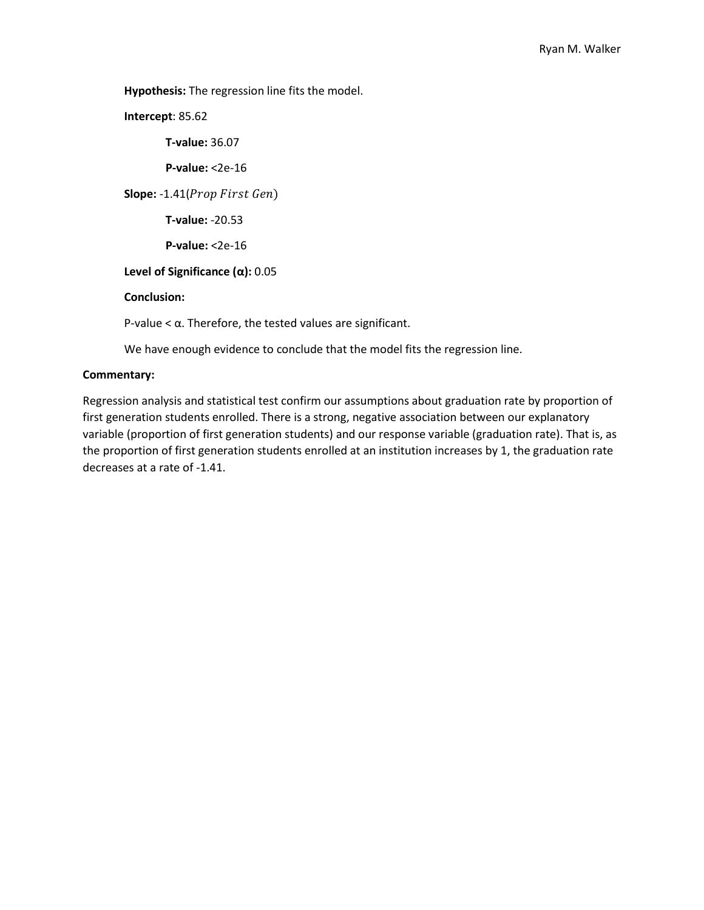**Hypothesis:** The regression line fits the model.

**Intercept**: 85.62 **T-value:** 36.07 **P-value:** <2e-16 **Slope:** -1.41(*Prop First Gen*) **T-value:** -20.53 **P-value:** <2e-16 **Level of Significance (α):** 0.05 **Conclusion:**  P-value  $<$   $\alpha$ . Therefore, the tested values are significant.

We have enough evidence to conclude that the model fits the regression line.

# **Commentary:**

Regression analysis and statistical test confirm our assumptions about graduation rate by proportion of first generation students enrolled. There is a strong, negative association between our explanatory variable (proportion of first generation students) and our response variable (graduation rate). That is, as the proportion of first generation students enrolled at an institution increases by 1, the graduation rate decreases at a rate of -1.41.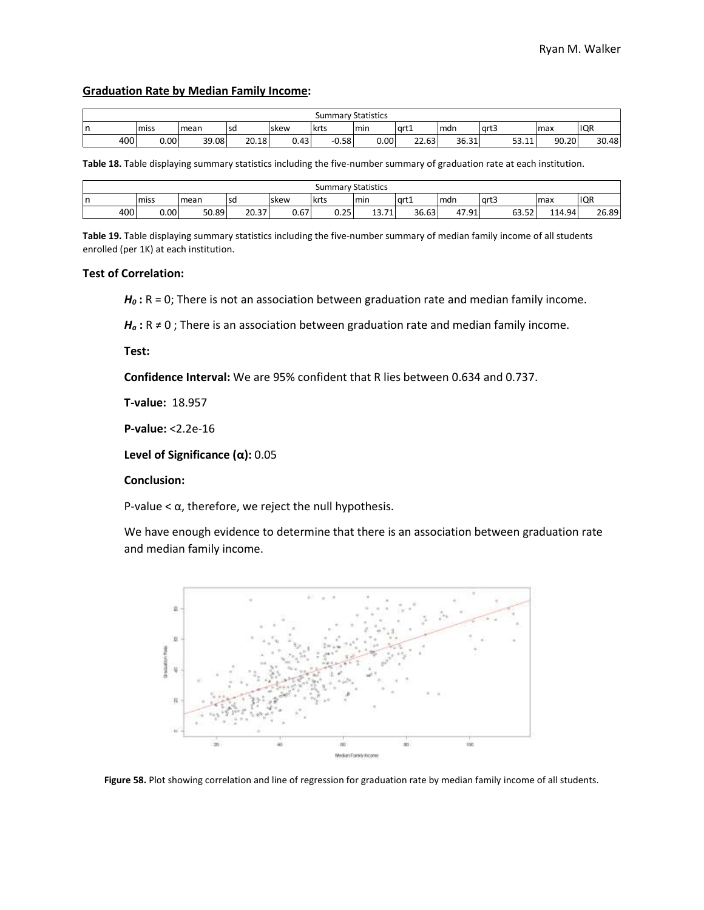#### **Graduation Rate by Median Family Income:**

|     | <b>Summary Statistics</b> |       |       |       |         |      |       |       |                               |       |            |  |  |
|-----|---------------------------|-------|-------|-------|---------|------|-------|-------|-------------------------------|-------|------------|--|--|
| n   | miss                      | mean  | sd    | Iskew | lkrts   | min  | art1  | mdn   | l art3                        | l max | <b>IQR</b> |  |  |
| 400 | 0.00 <sub>1</sub>         | 39.08 | 20.18 | 0.43  | $-0.58$ | 0.00 | 22.63 | 36.31 | гэ<br>$\overline{A}$<br>⊥⊥.زر | 90.20 | 30.48      |  |  |

**Table 18.** Table displaying summary statistics including the five-number summary of graduation rate at each institution.

|     | <b>Summary Statistics</b> |       |       |       |      |                                     |       |             |               |        |            |  |  |
|-----|---------------------------|-------|-------|-------|------|-------------------------------------|-------|-------------|---------------|--------|------------|--|--|
| In  | miss                      | lmean | lsd   | Iskew | krts | min                                 | lart1 | <b>Imdn</b> | art3          | max    | <b>IQR</b> |  |  |
| 400 | 0.00                      | 50.89 | 20.37 | 0.67  | 0.25 | $\overline{a}$<br>$\sim$<br>13. J 1 | 36.63 | 47.91       | $-2$<br>63.52 | 114.94 | 26.89      |  |  |

**Table 19.** Table displaying summary statistics including the five-number summary of median family income of all students enrolled (per 1K) at each institution.

#### **Test of Correlation:**

*H<sup>0</sup>* **:** R = 0; There is not an association between graduation rate and median family income.

 $H_a$ : R  $\neq$  0; There is an association between graduation rate and median family income.

**Test:**

**Confidence Interval:** We are 95% confident that R lies between 0.634 and 0.737.

**T-value:** 18.957

**P-value:** <2.2e-16

**Level of Significance (α):** 0.05

# **Conclusion:**

P-value  $< \alpha$ , therefore, we reject the null hypothesis.

We have enough evidence to determine that there is an association between graduation rate and median family income.

![](_page_39_Figure_17.jpeg)

**Figure 58.** Plot showing correlation and line of regression for graduation rate by median family income of all students.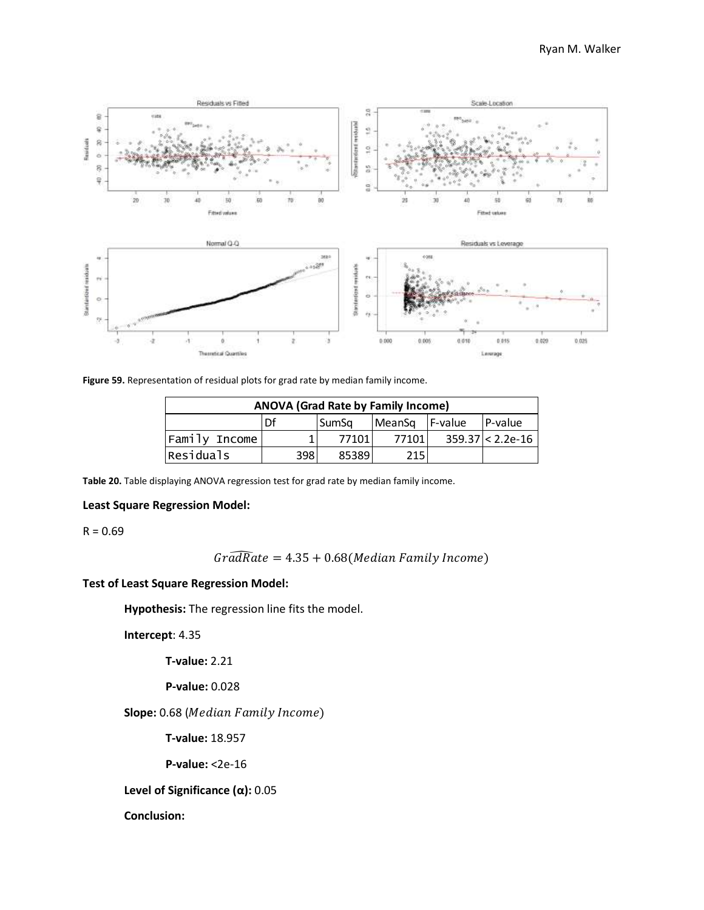![](_page_40_Figure_1.jpeg)

**Figure 59.** Representation of residual plots for grad rate by median family income.

| <b>ANOVA (Grad Rate by Family Income)</b> |    |              |                |  |                    |  |  |  |  |  |  |  |
|-------------------------------------------|----|--------------|----------------|--|--------------------|--|--|--|--|--|--|--|
|                                           | Df | <b>SumSa</b> | MeanSq F-value |  | P-value            |  |  |  |  |  |  |  |
| Family Income                             |    | 77101        | 77101          |  | $359.37 < 2.2e-16$ |  |  |  |  |  |  |  |
| Residuals<br>215<br>398l<br>85389         |    |              |                |  |                    |  |  |  |  |  |  |  |

**Table 20.** Table displaying ANOVA regression test for grad rate by median family income.

# **Least Square Regression Model:**

 $R = 0.69$ 

$$
Gr\widehat{adRate} = 4.35 + 0.68 (Median Family Income)
$$

#### **Test of Least Square Regression Model:**

**Hypothesis:** The regression line fits the model.

**Intercept**: 4.35

**T-value:** 2.21

# **P-value:** 0.028

Slope: 0.68 (Median Family Income)

**T-value:** 18.957

**P-value:** <2e-16

**Level of Significance (α):** 0.05

# **Conclusion:**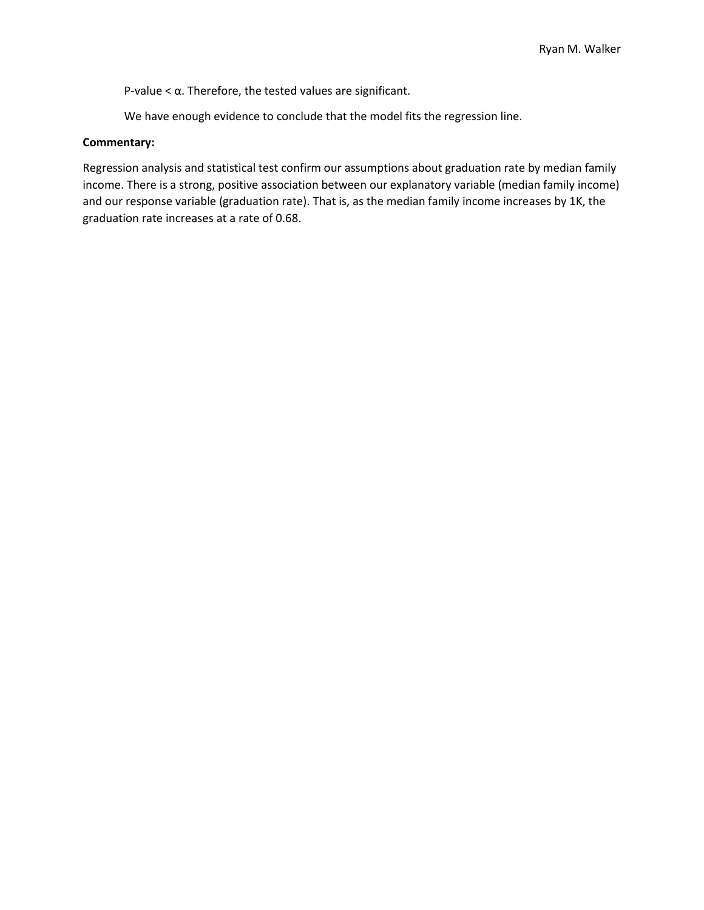P-value  $<$   $\alpha$ . Therefore, the tested values are significant.

We have enough evidence to conclude that the model fits the regression line.

# **Commentary:**

Regression analysis and statistical test confirm our assumptions about graduation rate by median family income. There is a strong, positive association between our explanatory variable (median family income) and our response variable (graduation rate). That is, as the median family income increases by 1K, the graduation rate increases at a rate of 0.68.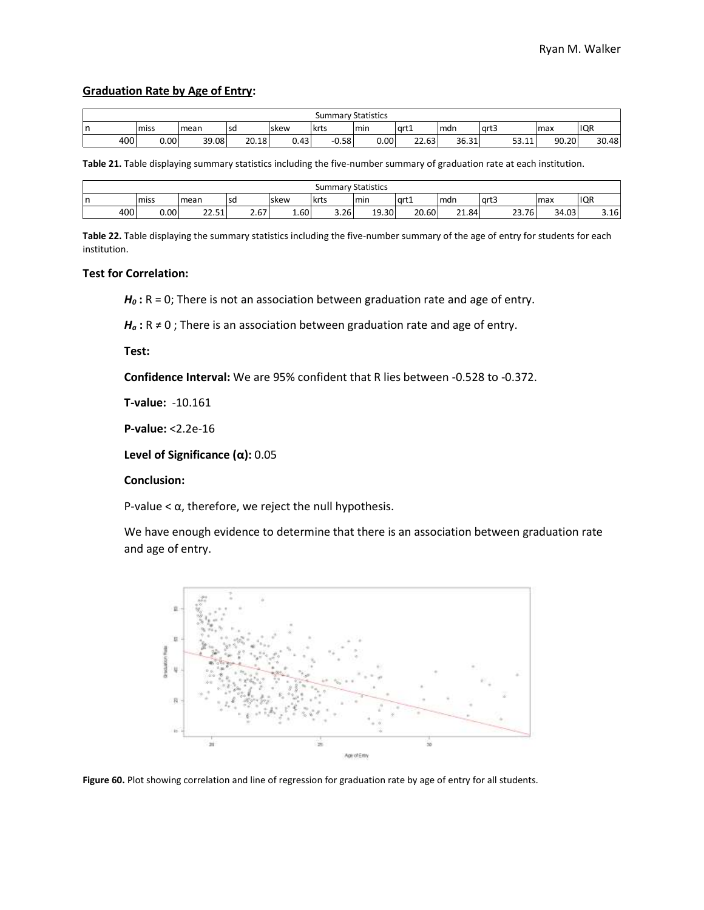# **Graduation Rate by Age of Entry:**

|     | <b>Summary Statistics</b> |       |       |       |         |      |       |       |                                      |       |            |  |  |
|-----|---------------------------|-------|-------|-------|---------|------|-------|-------|--------------------------------------|-------|------------|--|--|
| n   | miss                      | mean  | sd    | Iskew | lkrts   | min  | art1  | lmdn  | l art3                               | l max | <b>IQR</b> |  |  |
| 400 | 0.00                      | 39.08 | 20.18 | 0.43  | $-0.58$ | 0.00 | 22.63 | 36.31 | гэ<br>$\overline{A}$<br><b>JJ.II</b> | 90.20 | 30.48      |  |  |

**Table 21.** Table displaying summary statistics including the five-number summary of graduation rate at each institution.

|     | <b>Summary Statistics</b> |                                         |           |      |             |       |       |       |       |       |              |  |  |
|-----|---------------------------|-----------------------------------------|-----------|------|-------------|-------|-------|-------|-------|-------|--------------|--|--|
| In  | miss                      | mean                                    | <b>SC</b> | skew | <b>krts</b> | Imin  | art1  | mdr   | lart3 | max   | IQR          |  |  |
| 400 | 0.00                      | $\mathbf{a}$<br>F <sub>4</sub><br>77.77 | 2.67      | 1.60 | 3.26        | 19.30 | 20.60 | 21.84 | ∠3.76 | 34.03 | 2.4c<br>3.1b |  |  |

**Table 22.** Table displaying the summary statistics including the five-number summary of the age of entry for students for each institution.

#### **Test for Correlation:**

*H*<sub>0</sub> : R = 0; There is not an association between graduation rate and age of entry.

 $H_a$ : R  $\neq$  0; There is an association between graduation rate and age of entry.

**Test:**

**Confidence Interval:** We are 95% confident that R lies between -0.528 to -0.372.

**T-value:** -10.161

**P-value:** <2.2e-16

**Level of Significance (α):** 0.05

# **Conclusion:**

P-value  $< \alpha$ , therefore, we reject the null hypothesis.

We have enough evidence to determine that there is an association between graduation rate and age of entry.

![](_page_42_Figure_17.jpeg)

Figure 60. Plot showing correlation and line of regression for graduation rate by age of entry for all students.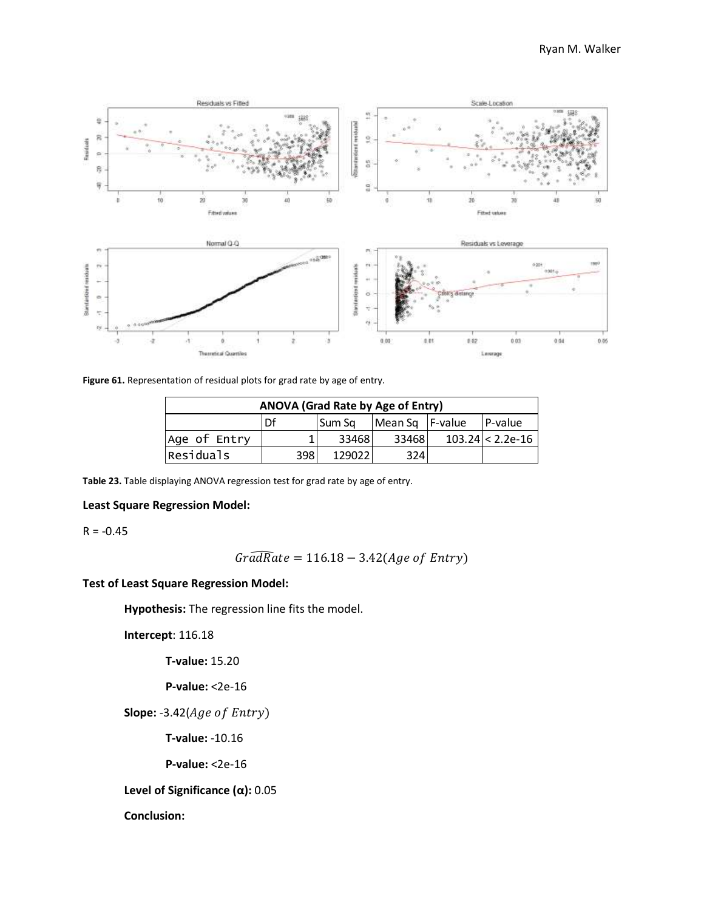![](_page_43_Figure_1.jpeg)

**Figure 61.** Representation of residual plots for grad rate by age of entry.

|                                    | ANOVA (Grad Rate by Age of Entry) |        |                 |  |                    |  |  |  |  |  |  |  |  |
|------------------------------------|-----------------------------------|--------|-----------------|--|--------------------|--|--|--|--|--|--|--|--|
|                                    | ηf                                | Sum Sa | Mean Sq F-value |  | P-value            |  |  |  |  |  |  |  |  |
| Age of Entry                       |                                   | 33468  | 334681          |  | $103.24 < 2.2e-16$ |  |  |  |  |  |  |  |  |
| Residuals<br>324<br>398l<br>129022 |                                   |        |                 |  |                    |  |  |  |  |  |  |  |  |

**Table 23.** Table displaying ANOVA regression test for grad rate by age of entry.

# **Least Square Regression Model:**

 $R = -0.45$ 

$$
Gr\widehat{adRate} = 116.18 - 3.42 (Age\ of\ Entry)
$$

# **Test of Least Square Regression Model:**

**Hypothesis:** The regression line fits the model.

**Intercept**: 116.18

**T-value:** 15.20

**P-value:** <2e-16

**Slope:** -3.42(*Age of Entry*)

**T-value:** -10.16

**P-value:** <2e-16

**Level of Significance (α):** 0.05

**Conclusion:**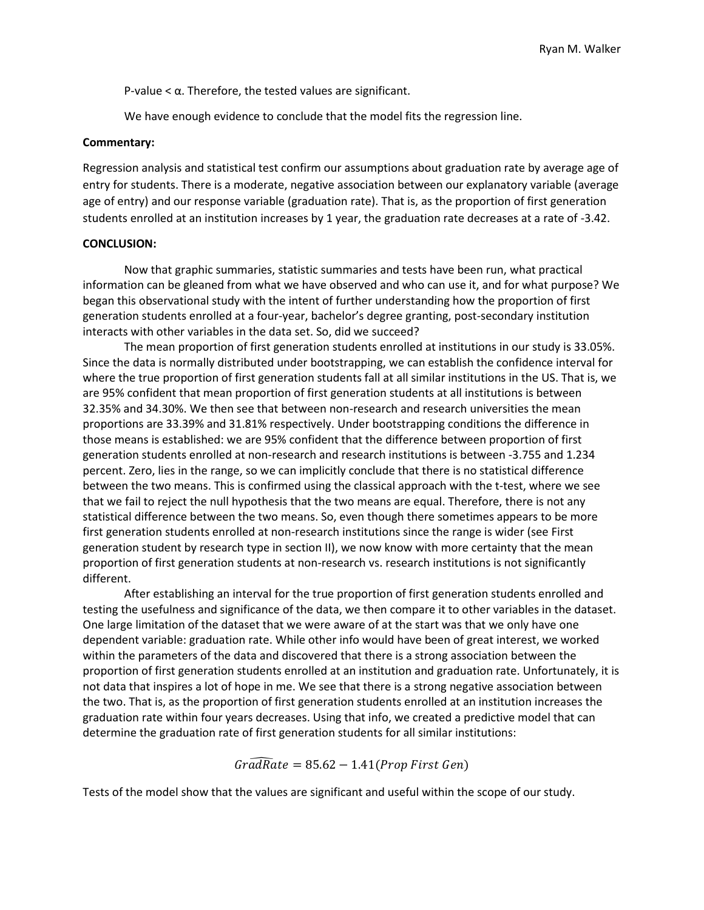P-value  $< \alpha$ . Therefore, the tested values are significant.

We have enough evidence to conclude that the model fits the regression line.

# **Commentary:**

Regression analysis and statistical test confirm our assumptions about graduation rate by average age of entry for students. There is a moderate, negative association between our explanatory variable (average age of entry) and our response variable (graduation rate). That is, as the proportion of first generation students enrolled at an institution increases by 1 year, the graduation rate decreases at a rate of -3.42.

# **CONCLUSION:**

Now that graphic summaries, statistic summaries and tests have been run, what practical information can be gleaned from what we have observed and who can use it, and for what purpose? We began this observational study with the intent of further understanding how the proportion of first generation students enrolled at a four-year, bachelor's degree granting, post-secondary institution interacts with other variables in the data set. So, did we succeed?

The mean proportion of first generation students enrolled at institutions in our study is 33.05%. Since the data is normally distributed under bootstrapping, we can establish the confidence interval for where the true proportion of first generation students fall at all similar institutions in the US. That is, we are 95% confident that mean proportion of first generation students at all institutions is between 32.35% and 34.30%. We then see that between non-research and research universities the mean proportions are 33.39% and 31.81% respectively. Under bootstrapping conditions the difference in those means is established: we are 95% confident that the difference between proportion of first generation students enrolled at non-research and research institutions is between -3.755 and 1.234 percent. Zero, lies in the range, so we can implicitly conclude that there is no statistical difference between the two means. This is confirmed using the classical approach with the t-test, where we see that we fail to reject the null hypothesis that the two means are equal. Therefore, there is not any statistical difference between the two means. So, even though there sometimes appears to be more first generation students enrolled at non-research institutions since the range is wider (see First generation student by research type in section II), we now know with more certainty that the mean proportion of first generation students at non-research vs. research institutions is not significantly different.

After establishing an interval for the true proportion of first generation students enrolled and testing the usefulness and significance of the data, we then compare it to other variables in the dataset. One large limitation of the dataset that we were aware of at the start was that we only have one dependent variable: graduation rate. While other info would have been of great interest, we worked within the parameters of the data and discovered that there is a strong association between the proportion of first generation students enrolled at an institution and graduation rate. Unfortunately, it is not data that inspires a lot of hope in me. We see that there is a strong negative association between the two. That is, as the proportion of first generation students enrolled at an institution increases the graduation rate within four years decreases. Using that info, we created a predictive model that can determine the graduation rate of first generation students for all similar institutions:

# $Gra\widehat{dRate} = 85.62 - 1.41$ (Prop First Gen)

Tests of the model show that the values are significant and useful within the scope of our study.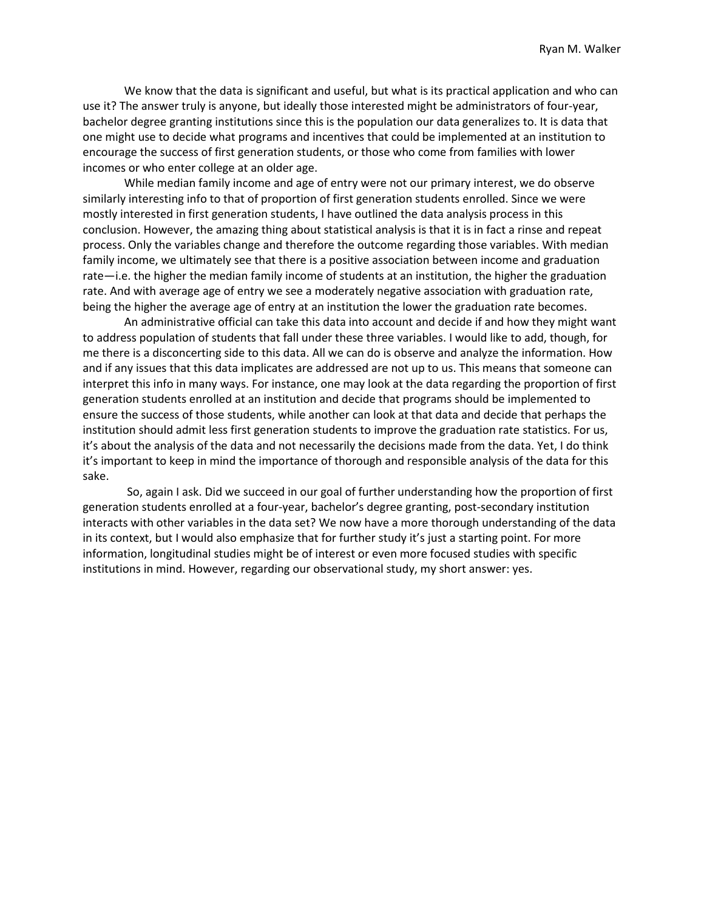We know that the data is significant and useful, but what is its practical application and who can use it? The answer truly is anyone, but ideally those interested might be administrators of four-year, bachelor degree granting institutions since this is the population our data generalizes to. It is data that one might use to decide what programs and incentives that could be implemented at an institution to encourage the success of first generation students, or those who come from families with lower incomes or who enter college at an older age.

While median family income and age of entry were not our primary interest, we do observe similarly interesting info to that of proportion of first generation students enrolled. Since we were mostly interested in first generation students, I have outlined the data analysis process in this conclusion. However, the amazing thing about statistical analysis is that it is in fact a rinse and repeat process. Only the variables change and therefore the outcome regarding those variables. With median family income, we ultimately see that there is a positive association between income and graduation rate—i.e. the higher the median family income of students at an institution, the higher the graduation rate. And with average age of entry we see a moderately negative association with graduation rate, being the higher the average age of entry at an institution the lower the graduation rate becomes.

An administrative official can take this data into account and decide if and how they might want to address population of students that fall under these three variables. I would like to add, though, for me there is a disconcerting side to this data. All we can do is observe and analyze the information. How and if any issues that this data implicates are addressed are not up to us. This means that someone can interpret this info in many ways. For instance, one may look at the data regarding the proportion of first generation students enrolled at an institution and decide that programs should be implemented to ensure the success of those students, while another can look at that data and decide that perhaps the institution should admit less first generation students to improve the graduation rate statistics. For us, it's about the analysis of the data and not necessarily the decisions made from the data. Yet, I do think it's important to keep in mind the importance of thorough and responsible analysis of the data for this sake.

So, again I ask. Did we succeed in our goal of further understanding how the proportion of first generation students enrolled at a four-year, bachelor's degree granting, post-secondary institution interacts with other variables in the data set? We now have a more thorough understanding of the data in its context, but I would also emphasize that for further study it's just a starting point. For more information, longitudinal studies might be of interest or even more focused studies with specific institutions in mind. However, regarding our observational study, my short answer: yes.